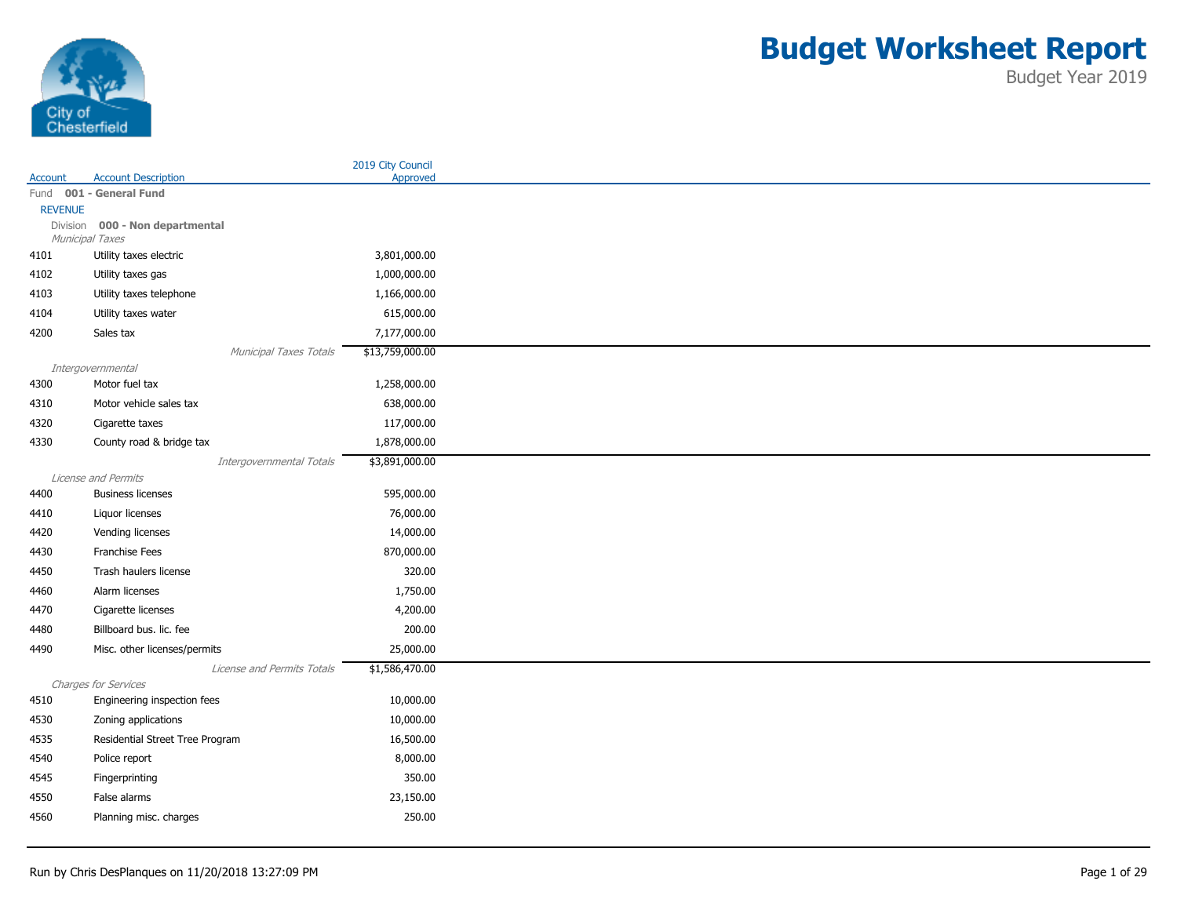

|                |                                 | 2019 City Council |
|----------------|---------------------------------|-------------------|
| Account        | <b>Account Description</b>      | Approved          |
|                | Fund 001 - General Fund         |                   |
| <b>REVENUE</b> | Division 000 - Non departmental |                   |
|                | Municipal Taxes                 |                   |
| 4101           | Utility taxes electric          | 3,801,000.00      |
| 4102           | Utility taxes gas               | 1,000,000.00      |
| 4103           | Utility taxes telephone         | 1,166,000.00      |
| 4104           | Utility taxes water             | 615,000.00        |
| 4200           | Sales tax                       | 7,177,000.00      |
|                | Municipal Taxes Totals          | \$13,759,000.00   |
|                | Intergovernmental               |                   |
| 4300           | Motor fuel tax                  | 1,258,000.00      |
| 4310           | Motor vehicle sales tax         | 638,000.00        |
| 4320           | Cigarette taxes                 | 117,000.00        |
| 4330           | County road & bridge tax        | 1,878,000.00      |
|                | Intergovernmental Totals        | \$3,891,000.00    |
|                | License and Permits             |                   |
| 4400           | <b>Business licenses</b>        | 595,000.00        |
| 4410           | Liquor licenses                 | 76,000.00         |
| 4420           | Vending licenses                | 14,000.00         |
| 4430           | Franchise Fees                  | 870,000.00        |
| 4450           | Trash haulers license           | 320.00            |
| 4460           | Alarm licenses                  | 1,750.00          |
| 4470           | Cigarette licenses              | 4,200.00          |
| 4480           | Billboard bus. lic. fee         | 200.00            |
| 4490           | Misc. other licenses/permits    | 25,000.00         |
|                | License and Permits Totals      | \$1,586,470.00    |
|                | Charges for Services            |                   |
| 4510           | Engineering inspection fees     | 10,000.00         |
| 4530           | Zoning applications             | 10,000.00         |
| 4535           | Residential Street Tree Program | 16,500.00         |
| 4540           | Police report                   | 8,000.00          |
| 4545           | Fingerprinting                  | 350.00            |
| 4550           | False alarms                    | 23,150.00         |
| 4560           | Planning misc. charges          | 250.00            |
|                |                                 |                   |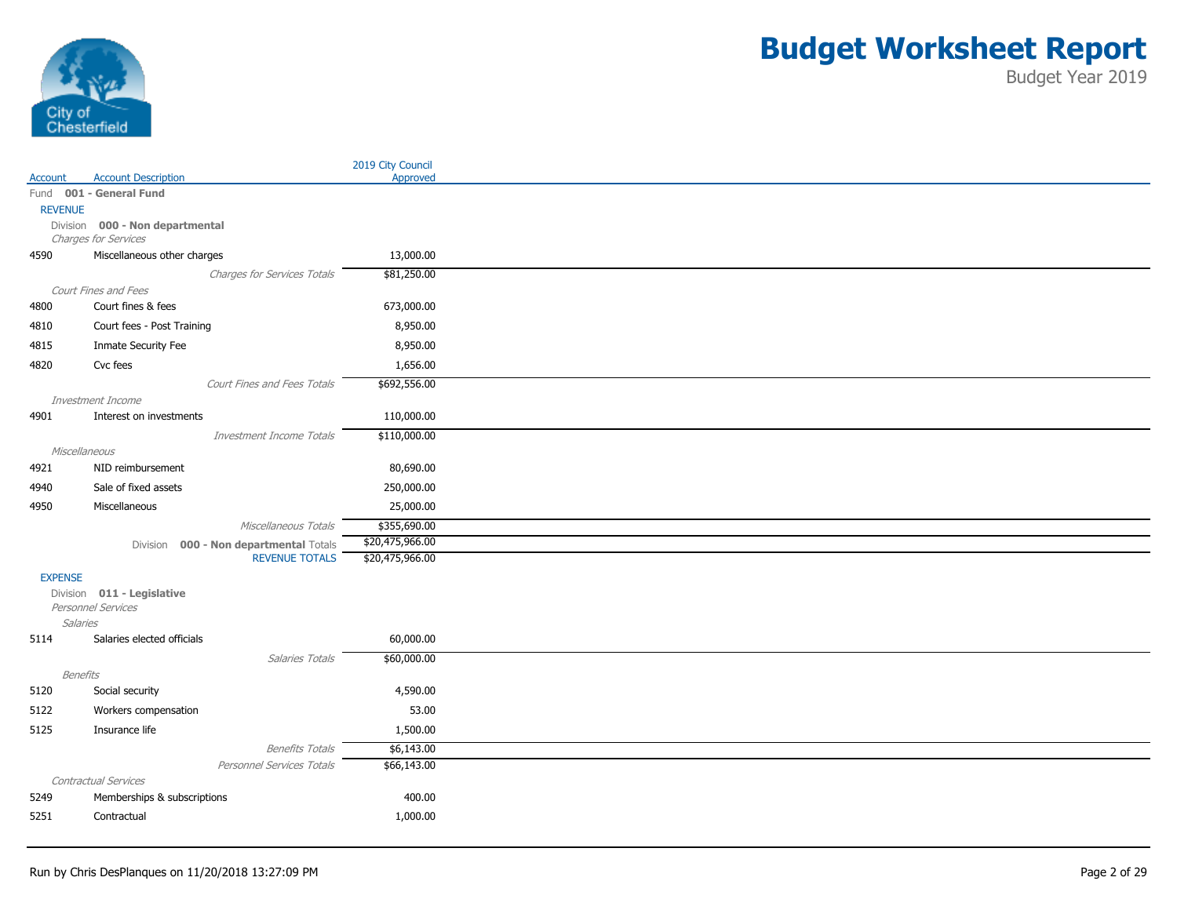

|                |                                                  |                                        | 2019 City Council |
|----------------|--------------------------------------------------|----------------------------------------|-------------------|
| Account        | <b>Account Description</b>                       |                                        | Approved          |
|                | Fund 001 - General Fund                          |                                        |                   |
| <b>REVENUE</b> | Division 000 - Non departmental                  |                                        |                   |
|                | Charges for Services                             |                                        |                   |
| 4590           | Miscellaneous other charges                      |                                        | 13,000.00         |
|                |                                                  | Charges for Services Totals            | \$81,250.00       |
|                | Court Fines and Fees                             |                                        |                   |
| 4800           | Court fines & fees                               |                                        | 673,000.00        |
| 4810           | Court fees - Post Training                       |                                        | 8,950.00          |
| 4815           | Inmate Security Fee                              |                                        | 8,950.00          |
| 4820           | Cvc fees                                         |                                        | 1,656.00          |
|                |                                                  | Court Fines and Fees Totals            | \$692,556.00      |
|                | Investment Income                                |                                        |                   |
| 4901           | Interest on investments                          |                                        | 110,000.00        |
|                |                                                  | Investment Income Totals               | \$110,000.00      |
|                | Miscellaneous                                    |                                        |                   |
| 4921           | NID reimbursement                                |                                        | 80,690.00         |
| 4940           | Sale of fixed assets                             |                                        | 250,000.00        |
| 4950           | Miscellaneous                                    |                                        | 25,000.00         |
|                |                                                  | Miscellaneous Totals                   | \$355,690.00      |
|                |                                                  | Division 000 - Non departmental Totals | \$20,475,966.00   |
|                |                                                  | <b>REVENUE TOTALS</b>                  | \$20,475,966.00   |
| <b>EXPENSE</b> |                                                  |                                        |                   |
|                | Division 011 - Legislative<br>Personnel Services |                                        |                   |
|                | <b>Salaries</b>                                  |                                        |                   |
| 5114           | Salaries elected officials                       |                                        | 60,000.00         |
|                |                                                  | Salaries Totals                        | \$60,000.00       |
|                | Benefits                                         |                                        |                   |
| 5120           | Social security                                  |                                        | 4,590.00          |
| 5122           | Workers compensation                             |                                        | 53.00             |
| 5125           | Insurance life                                   |                                        | 1,500.00          |
|                |                                                  | <b>Benefits Totals</b>                 | \$6,143.00        |
|                |                                                  | Personnel Services Totals              | \$66,143.00       |
|                | Contractual Services                             |                                        |                   |
| 5249           | Memberships & subscriptions                      |                                        | 400.00            |
| 5251           | Contractual                                      |                                        | 1,000.00          |
|                |                                                  |                                        |                   |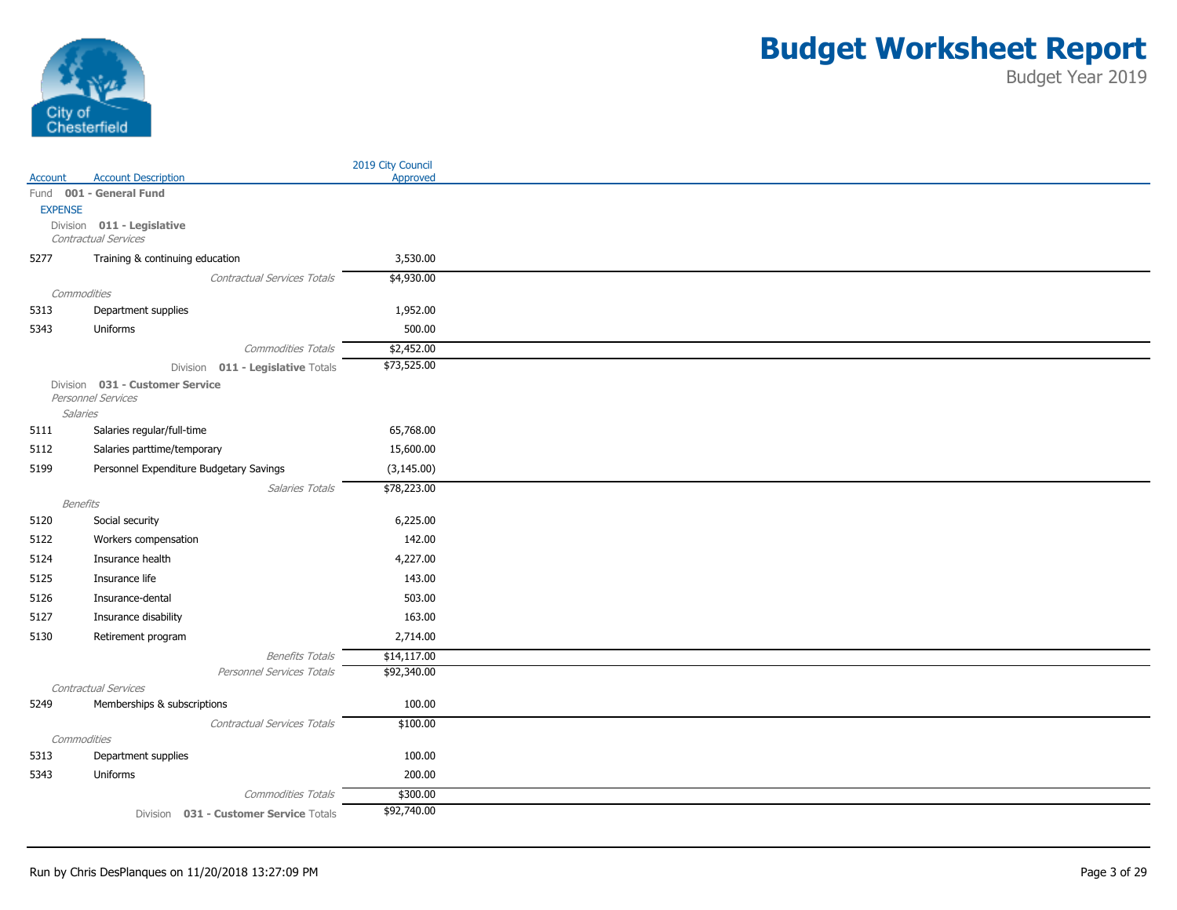

|                |                                                       | 2019 City Council |
|----------------|-------------------------------------------------------|-------------------|
| Account        | <b>Account Description</b>                            | Approved          |
|                | Fund 001 - General Fund                               |                   |
| <b>EXPENSE</b> |                                                       |                   |
|                | Division 011 - Legislative<br>Contractual Services    |                   |
| 5277           | Training & continuing education                       | 3,530.00          |
|                | Contractual Services Totals                           | \$4,930.00        |
| Commodities    |                                                       |                   |
| 5313           | Department supplies                                   | 1,952.00          |
| 5343           | Uniforms                                              | 500.00            |
|                | Commodities Totals                                    | \$2,452.00        |
|                | Division 011 - Legislative Totals                     | \$73,525.00       |
|                | Division 031 - Customer Service<br>Personnel Services |                   |
| Salaries       |                                                       |                   |
| 5111           | Salaries regular/full-time                            | 65,768.00         |
| 5112           | Salaries parttime/temporary                           | 15,600.00         |
| 5199           | Personnel Expenditure Budgetary Savings               | (3, 145.00)       |
|                | Salaries Totals                                       | \$78,223.00       |
| Benefits       |                                                       |                   |
| 5120           | Social security                                       | 6,225.00          |
| 5122           | Workers compensation                                  | 142.00            |
| 5124           | Insurance health                                      | 4,227.00          |
| 5125           | Insurance life                                        | 143.00            |
| 5126           | Insurance-dental                                      | 503.00            |
| 5127           | Insurance disability                                  | 163.00            |
| 5130           | Retirement program                                    | 2,714.00          |
|                | <b>Benefits Totals</b>                                | \$14,117.00       |
|                | Personnel Services Totals                             | \$92,340.00       |
|                | Contractual Services                                  |                   |
| 5249           | Memberships & subscriptions                           | 100.00            |
|                | <b>Contractual Services Totals</b>                    | \$100.00          |
| Commodities    |                                                       |                   |
| 5313           | Department supplies                                   | 100.00            |
| 5343           | Uniforms                                              | 200.00            |
|                | <b>Commodities Totals</b>                             | \$300.00          |
|                | Division 031 - Customer Service Totals                | \$92,740.00       |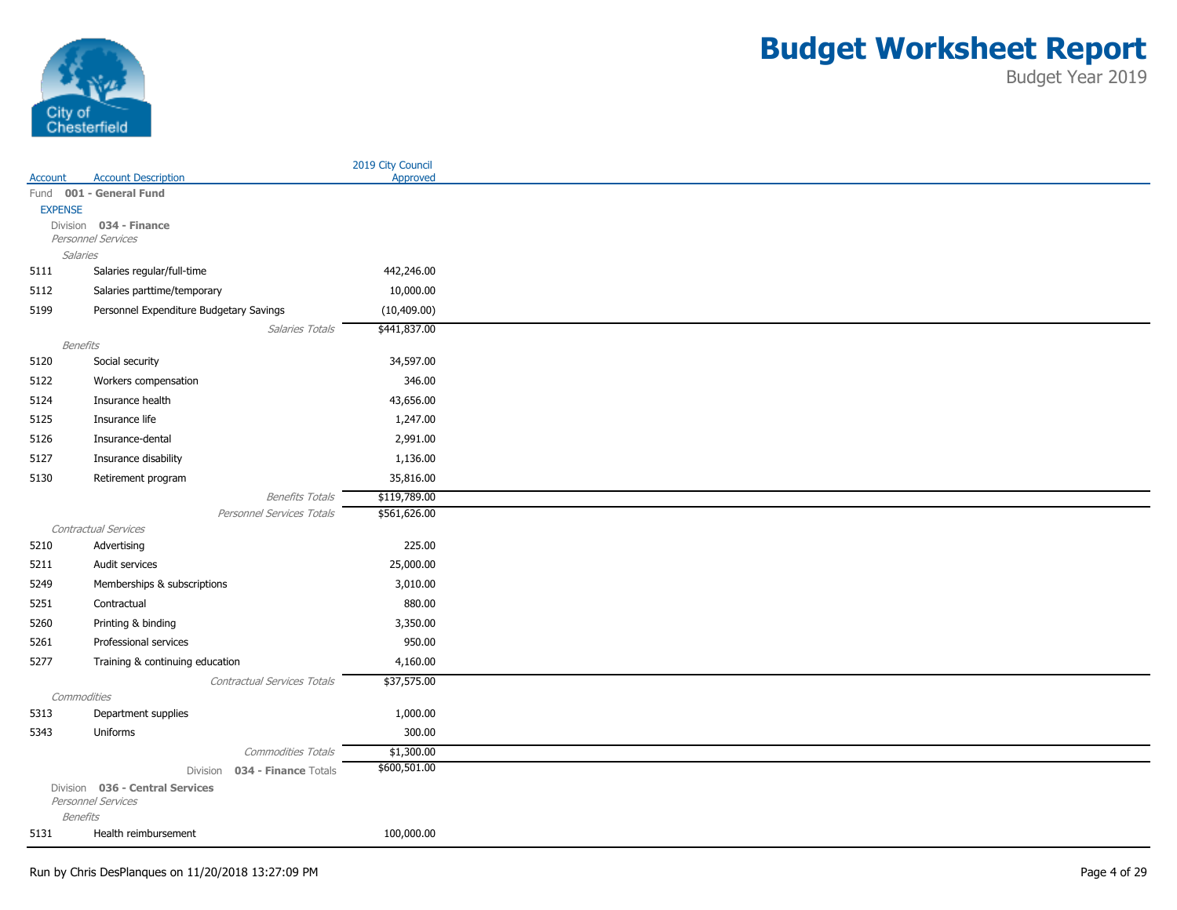

|                 |                                                     | 2019 City Council |
|-----------------|-----------------------------------------------------|-------------------|
| Account         | <b>Account Description</b>                          | Approved          |
|                 | Fund 001 - General Fund                             |                   |
| <b>EXPENSE</b>  |                                                     |                   |
|                 | Division 034 - Finance<br>Personnel Services        |                   |
| Salaries        |                                                     |                   |
| 5111            | Salaries regular/full-time                          | 442,246.00        |
| 5112            | Salaries parttime/temporary                         | 10,000.00         |
| 5199            | Personnel Expenditure Budgetary Savings             | (10, 409.00)      |
|                 | Salaries Totals                                     | \$441,837.00      |
| Benefits        |                                                     |                   |
| 5120            | Social security                                     | 34,597.00         |
| 5122            | Workers compensation                                | 346.00            |
| 5124            | Insurance health                                    | 43,656.00         |
| 5125            | Insurance life                                      | 1,247.00          |
| 5126            | Insurance-dental                                    | 2,991.00          |
| 5127            | Insurance disability                                | 1,136.00          |
| 5130            | Retirement program                                  | 35,816.00         |
|                 |                                                     | \$119,789.00      |
|                 | <b>Benefits Totals</b><br>Personnel Services Totals | \$561,626.00      |
|                 | Contractual Services                                |                   |
| 5210            | Advertising                                         | 225.00            |
| 5211            | Audit services                                      | 25,000.00         |
| 5249            | Memberships & subscriptions                         | 3,010.00          |
| 5251            | Contractual                                         | 880.00            |
| 5260            | Printing & binding                                  | 3,350.00          |
| 5261            | Professional services                               | 950.00            |
| 5277            |                                                     | 4,160.00          |
|                 | Training & continuing education                     |                   |
| Commodities     | Contractual Services Totals                         | \$37,575.00       |
| 5313            | Department supplies                                 | 1,000.00          |
| 5343            | Uniforms                                            | 300.00            |
|                 | Commodities Totals                                  | \$1,300.00        |
|                 | 034 - Finance Totals<br>Division                    | \$600,501.00      |
|                 | Division 036 - Central Services                     |                   |
|                 | Personnel Services                                  |                   |
| <b>Benefits</b> |                                                     |                   |
| 5131            | Health reimbursement                                | 100,000.00        |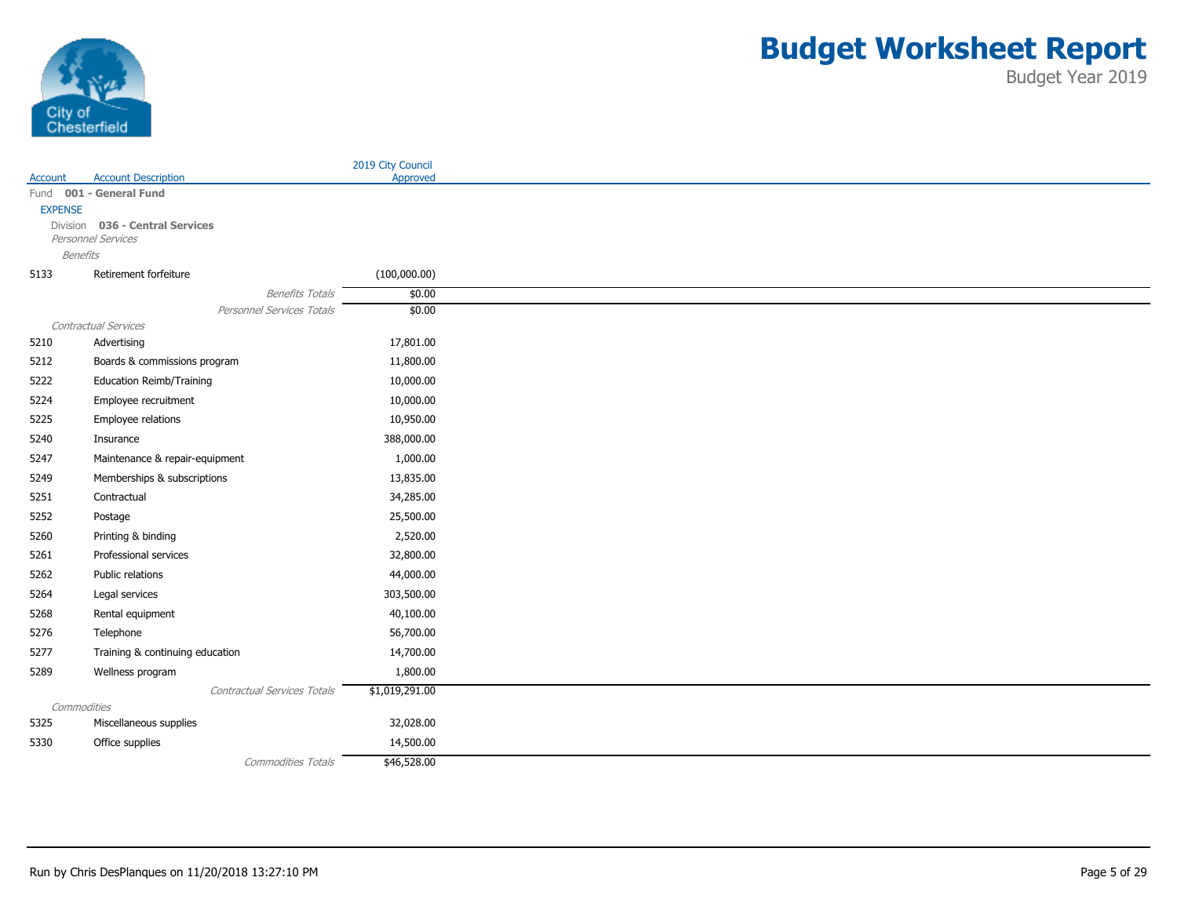

|                 |                                 |                             | 2019 City Council |
|-----------------|---------------------------------|-----------------------------|-------------------|
| Account         | <b>Account Description</b>      |                             | Approved          |
| Fund            | 001 - General Fund              |                             |                   |
| <b>EXPENSE</b>  | Division 036 - Central Services |                             |                   |
|                 | Personnel Services              |                             |                   |
| <b>Benefits</b> |                                 |                             |                   |
| 5133            | Retirement forfeiture           |                             | (100,000.00)      |
|                 |                                 | <b>Benefits Totals</b>      | \$0.00            |
|                 |                                 | Personnel Services Totals   | \$0.00            |
|                 | Contractual Services            |                             |                   |
| 5210            | Advertising                     |                             | 17,801.00         |
| 5212            | Boards & commissions program    |                             | 11,800.00         |
| 5222            | <b>Education Reimb/Training</b> |                             | 10,000.00         |
| 5224            | Employee recruitment            |                             | 10,000.00         |
| 5225            | Employee relations              |                             | 10,950.00         |
| 5240            | Insurance                       |                             | 388,000.00        |
| 5247            | Maintenance & repair-equipment  |                             | 1,000.00          |
| 5249            | Memberships & subscriptions     |                             | 13,835.00         |
| 5251            | Contractual                     |                             | 34,285.00         |
| 5252            | Postage                         |                             | 25,500.00         |
| 5260            | Printing & binding              |                             | 2,520.00          |
| 5261            | Professional services           |                             | 32,800.00         |
| 5262            | Public relations                |                             | 44,000.00         |
| 5264            | Legal services                  |                             | 303,500.00        |
| 5268            | Rental equipment                |                             | 40,100.00         |
| 5276            | Telephone                       |                             | 56,700.00         |
| 5277            | Training & continuing education |                             | 14,700.00         |
| 5289            | Wellness program                |                             | 1,800.00          |
|                 |                                 | Contractual Services Totals | \$1,019,291.00    |
| Commodities     |                                 |                             |                   |
| 5325            | Miscellaneous supplies          |                             | 32,028.00         |
| 5330            | Office supplies                 |                             | 14,500.00         |
|                 |                                 | <b>Commodities Totals</b>   | \$46,528.00       |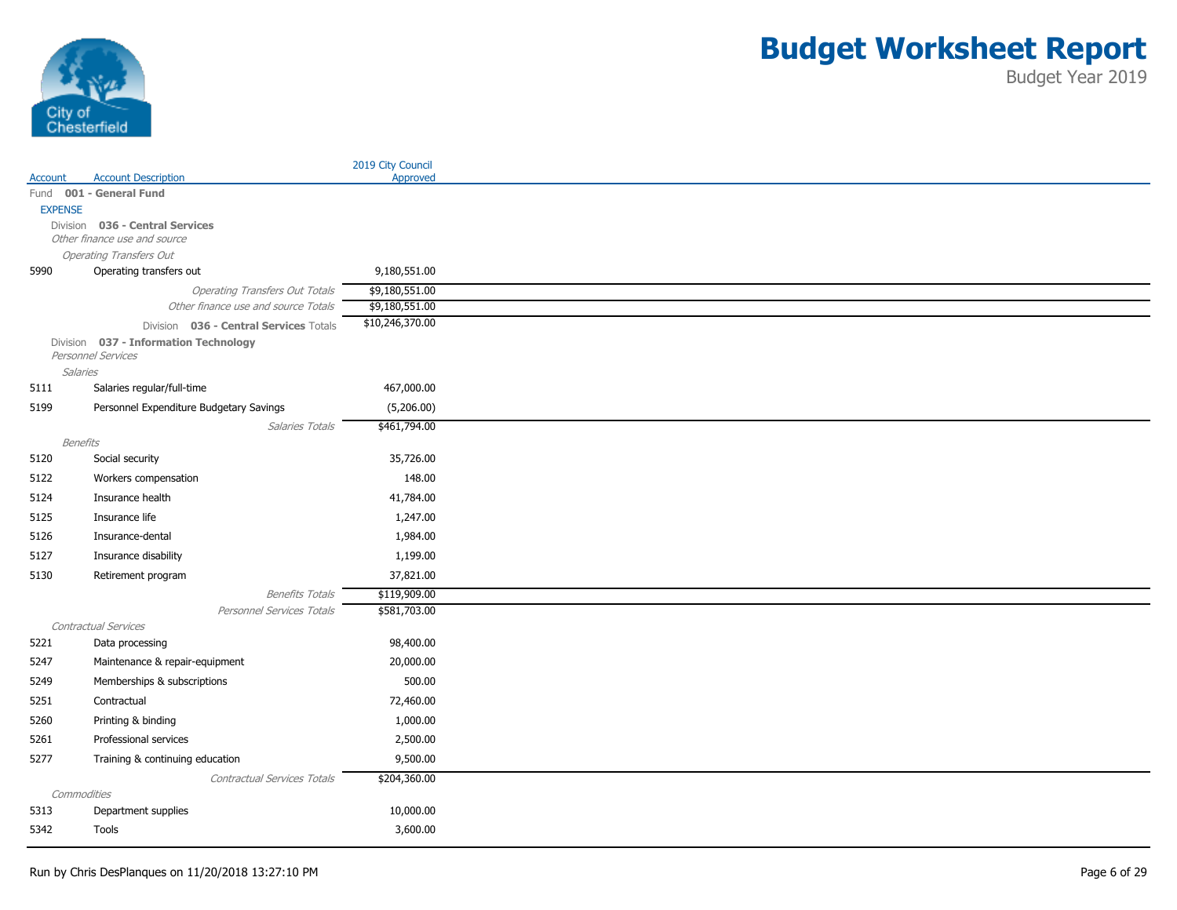

|                 |                                         | 2019 City Council |
|-----------------|-----------------------------------------|-------------------|
| Account         | <b>Account Description</b>              | Approved          |
|                 | Fund 001 - General Fund                 |                   |
| <b>EXPENSE</b>  | Division 036 - Central Services         |                   |
|                 | Other finance use and source            |                   |
|                 | <b>Operating Transfers Out</b>          |                   |
| 5990            | Operating transfers out                 | 9,180,551.00      |
|                 | <b>Operating Transfers Out Totals</b>   | \$9,180,551.00    |
|                 | Other finance use and source Totals     | \$9,180,551.00    |
|                 | Division 036 - Central Services Totals  | \$10,246,370.00   |
|                 | Division 037 - Information Technology   |                   |
| <b>Salaries</b> | Personnel Services                      |                   |
| 5111            | Salaries regular/full-time              | 467,000.00        |
| 5199            | Personnel Expenditure Budgetary Savings | (5,206.00)        |
|                 | Salaries Totals                         | \$461,794.00      |
| Benefits        |                                         |                   |
| 5120            | Social security                         | 35,726.00         |
| 5122            | Workers compensation                    | 148.00            |
| 5124            | Insurance health                        | 41,784.00         |
| 5125            | Insurance life                          | 1,247.00          |
| 5126            | Insurance-dental                        | 1,984.00          |
| 5127            | Insurance disability                    | 1,199.00          |
| 5130            | Retirement program                      | 37,821.00         |
|                 | <b>Benefits Totals</b>                  | \$119,909.00      |
|                 | Personnel Services Totals               | \$581,703.00      |
|                 | Contractual Services                    |                   |
| 5221            | Data processing                         | 98,400.00         |
| 5247            | Maintenance & repair-equipment          | 20,000.00         |
| 5249            | Memberships & subscriptions             | 500.00            |
| 5251            | Contractual                             | 72,460.00         |
| 5260            | Printing & binding                      | 1,000.00          |
| 5261            | Professional services                   | 2,500.00          |
| 5277            | Training & continuing education         | 9,500.00          |
|                 | Contractual Services Totals             | \$204,360.00      |
| Commodities     |                                         |                   |
| 5313            | Department supplies                     | 10,000.00         |
| 5342            | Tools                                   | 3,600.00          |
|                 |                                         |                   |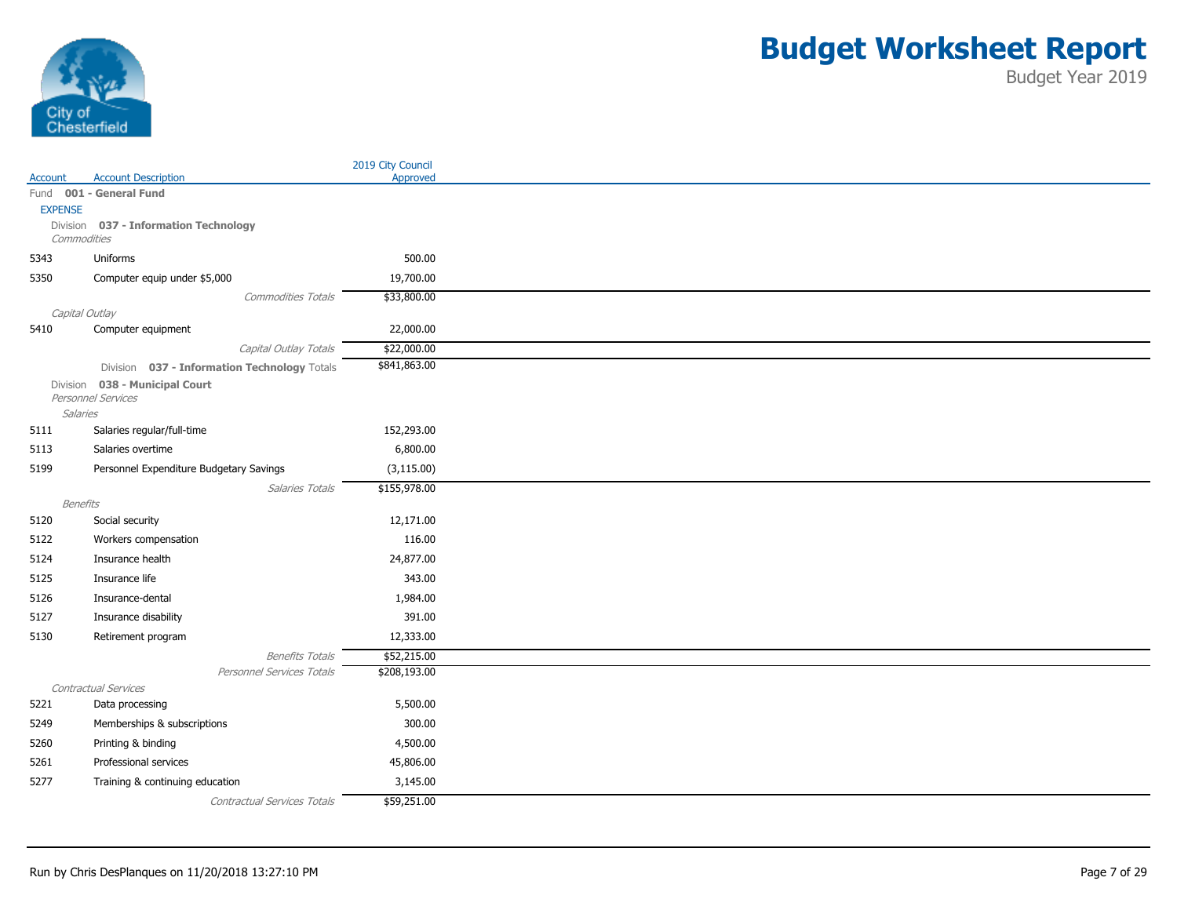

|                 |                                              | 2019 City Council |
|-----------------|----------------------------------------------|-------------------|
| Account         | <b>Account Description</b>                   | Approved          |
|                 | Fund 001 - General Fund                      |                   |
| <b>EXPENSE</b>  | Division 037 - Information Technology        |                   |
| Commodities     |                                              |                   |
| 5343            | Uniforms                                     | 500.00            |
| 5350            | Computer equip under \$5,000                 | 19,700.00         |
|                 | <b>Commodities Totals</b>                    | \$33,800.00       |
|                 | Capital Outlay                               |                   |
| 5410            | Computer equipment                           | 22,000.00         |
|                 | Capital Outlay Totals                        | \$22,000.00       |
|                 | Division 037 - Information Technology Totals | \$841,863.00      |
| Division        | 038 - Municipal Court                        |                   |
|                 | Personnel Services                           |                   |
| Salaries        |                                              |                   |
| 5111            | Salaries regular/full-time                   | 152,293.00        |
| 5113            | Salaries overtime                            | 6,800.00          |
| 5199            | Personnel Expenditure Budgetary Savings      | (3, 115.00)       |
|                 | Salaries Totals                              | \$155,978.00      |
| <b>Benefits</b> |                                              |                   |
| 5120            | Social security                              | 12,171.00         |
| 5122            | Workers compensation                         | 116.00            |
| 5124            | Insurance health                             | 24,877.00         |
| 5125            | Insurance life                               | 343.00            |
| 5126            | Insurance-dental                             | 1,984.00          |
| 5127            | Insurance disability                         | 391.00            |
| 5130            | Retirement program                           | 12,333.00         |
|                 | <b>Benefits Totals</b>                       | \$52,215.00       |
|                 | Personnel Services Totals                    | \$208,193.00      |
|                 | Contractual Services                         |                   |
| 5221            | Data processing                              | 5,500.00          |
| 5249            | Memberships & subscriptions                  | 300.00            |
| 5260            | Printing & binding                           | 4,500.00          |
| 5261            | Professional services                        | 45,806.00         |
| 5277            | Training & continuing education              | 3,145.00          |
|                 | Contractual Services Totals                  | \$59,251.00       |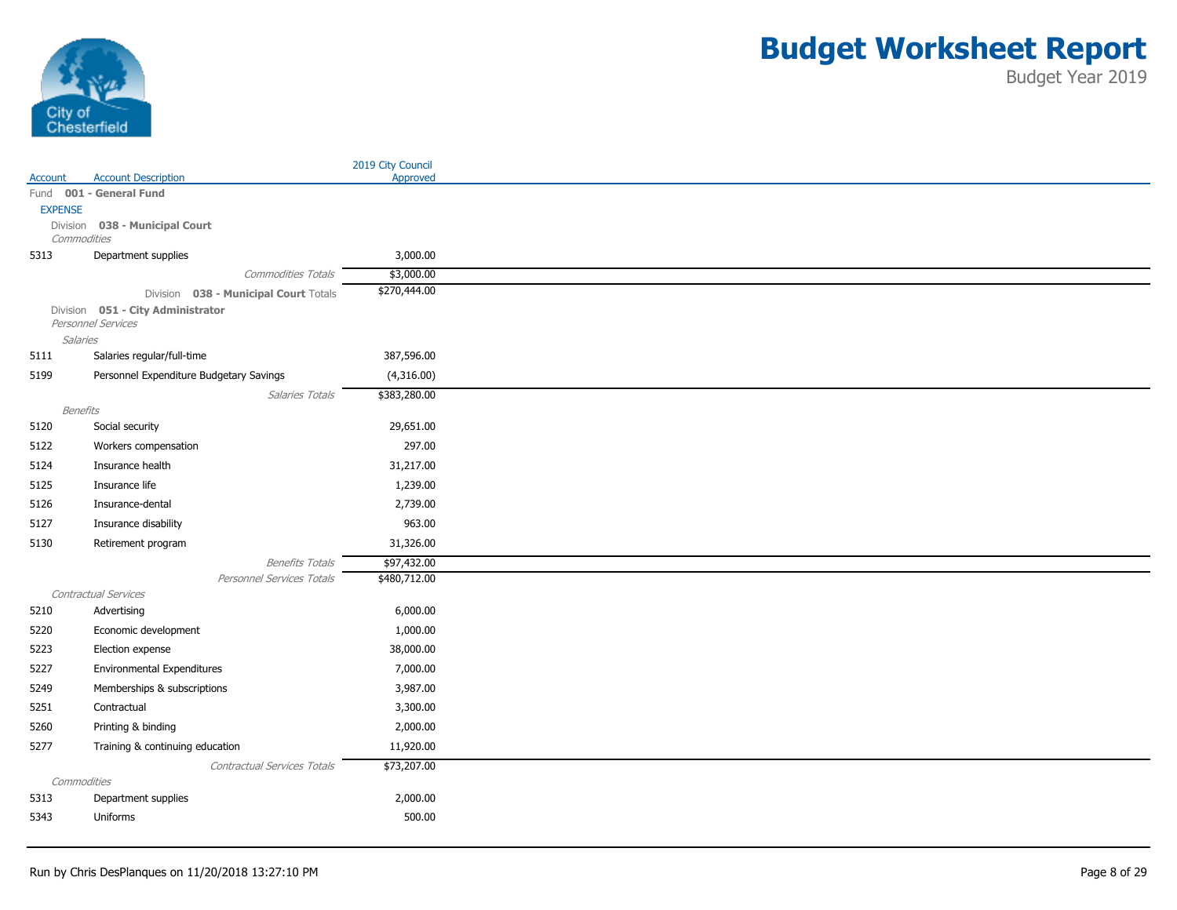

|                 |                                                         | 2019 City Council |
|-----------------|---------------------------------------------------------|-------------------|
| Account         | <b>Account Description</b>                              | Approved          |
|                 | Fund 001 - General Fund                                 |                   |
| <b>EXPENSE</b>  |                                                         |                   |
| Commodities     | Division 038 - Municipal Court                          |                   |
| 5313            | Department supplies                                     | 3,000.00          |
|                 | <b>Commodities Totals</b>                               | \$3,000.00        |
|                 | Division 038 - Municipal Court Totals                   | \$270,444.00      |
|                 | Division 051 - City Administrator<br>Personnel Services |                   |
| <b>Salaries</b> |                                                         |                   |
| 5111            | Salaries regular/full-time                              | 387,596.00        |
| 5199            | Personnel Expenditure Budgetary Savings                 | (4,316.00)        |
|                 | Salaries Totals                                         | \$383,280.00      |
| Benefits        |                                                         |                   |
| 5120            | Social security                                         | 29,651.00         |
| 5122            | Workers compensation                                    | 297.00            |
| 5124            | Insurance health                                        | 31,217.00         |
| 5125            | Insurance life                                          | 1,239.00          |
| 5126            | Insurance-dental                                        | 2,739.00          |
| 5127            | Insurance disability                                    | 963.00            |
| 5130            | Retirement program                                      | 31,326.00         |
|                 | <b>Benefits Totals</b>                                  | \$97,432.00       |
|                 | Personnel Services Totals                               | \$480,712.00      |
|                 | Contractual Services                                    |                   |
| 5210            | Advertising                                             | 6,000.00          |
| 5220            | Economic development                                    | 1,000.00          |
| 5223            | Election expense                                        | 38,000.00         |
| 5227            | <b>Environmental Expenditures</b>                       | 7,000.00          |
| 5249            | Memberships & subscriptions                             | 3,987.00          |
| 5251            | Contractual                                             | 3,300.00          |
| 5260            | Printing & binding                                      | 2,000.00          |
| 5277            | Training & continuing education                         | 11,920.00         |
|                 | Contractual Services Totals                             | \$73,207.00       |
| Commodities     |                                                         |                   |
| 5313            | Department supplies                                     | 2,000.00          |
| 5343            | Uniforms                                                | 500.00            |
|                 |                                                         |                   |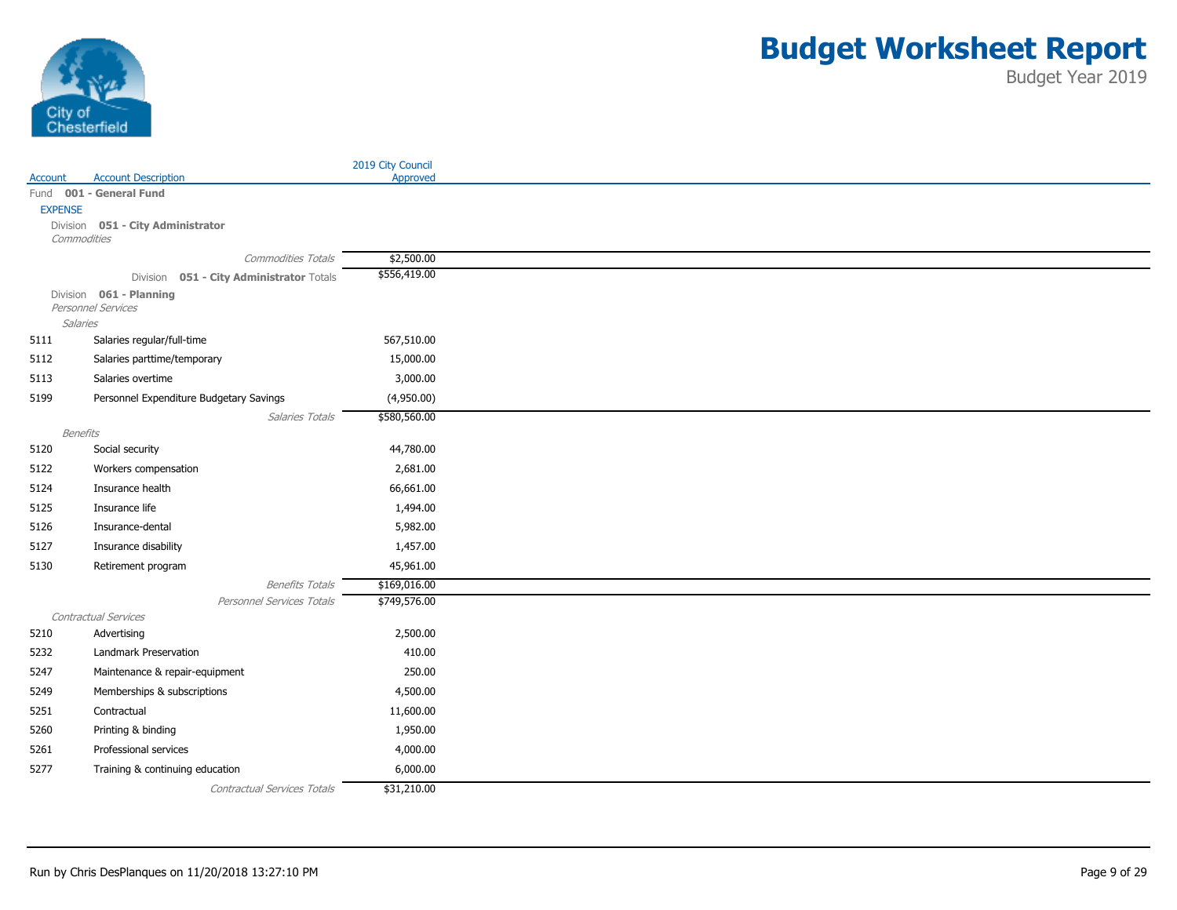

|                            |                                          | 2019 City Council |
|----------------------------|------------------------------------------|-------------------|
| Account                    | <b>Account Description</b>               | Approved          |
|                            | Fund 001 - General Fund                  |                   |
| <b>EXPENSE</b><br>Division |                                          |                   |
| Commodities                | 051 - City Administrator                 |                   |
|                            | Commodities Totals                       | \$2,500.00        |
|                            | Division 051 - City Administrator Totals | \$556,419.00      |
|                            | Division 061 - Planning                  |                   |
|                            | Personnel Services                       |                   |
| <b>Salaries</b>            |                                          |                   |
| 5111                       | Salaries regular/full-time               | 567,510.00        |
| 5112                       | Salaries parttime/temporary              | 15,000.00         |
| 5113                       | Salaries overtime                        | 3,000.00          |
| 5199                       | Personnel Expenditure Budgetary Savings  | (4,950.00)        |
|                            | Salaries Totals                          | \$580,560.00      |
| Benefits                   |                                          |                   |
| 5120                       | Social security                          | 44,780.00         |
| 5122                       | Workers compensation                     | 2,681.00          |
| 5124                       | Insurance health                         | 66,661.00         |
| 5125                       | Insurance life                           | 1,494.00          |
| 5126                       | Insurance-dental                         | 5,982.00          |
| 5127                       | Insurance disability                     | 1,457.00          |
| 5130                       | Retirement program                       | 45,961.00         |
|                            | <b>Benefits Totals</b>                   | \$169,016.00      |
|                            | Personnel Services Totals                | \$749,576.00      |
|                            | Contractual Services                     |                   |
| 5210                       | Advertising                              | 2,500.00          |
| 5232                       | Landmark Preservation                    | 410.00            |
| 5247                       | Maintenance & repair-equipment           | 250.00            |
| 5249                       | Memberships & subscriptions              | 4,500.00          |
| 5251                       | Contractual                              | 11,600.00         |
| 5260                       | Printing & binding                       | 1,950.00          |
| 5261                       | Professional services                    | 4,000.00          |
| 5277                       | Training & continuing education          | 6,000.00          |
|                            | Contractual Services Totals              | \$31,210.00       |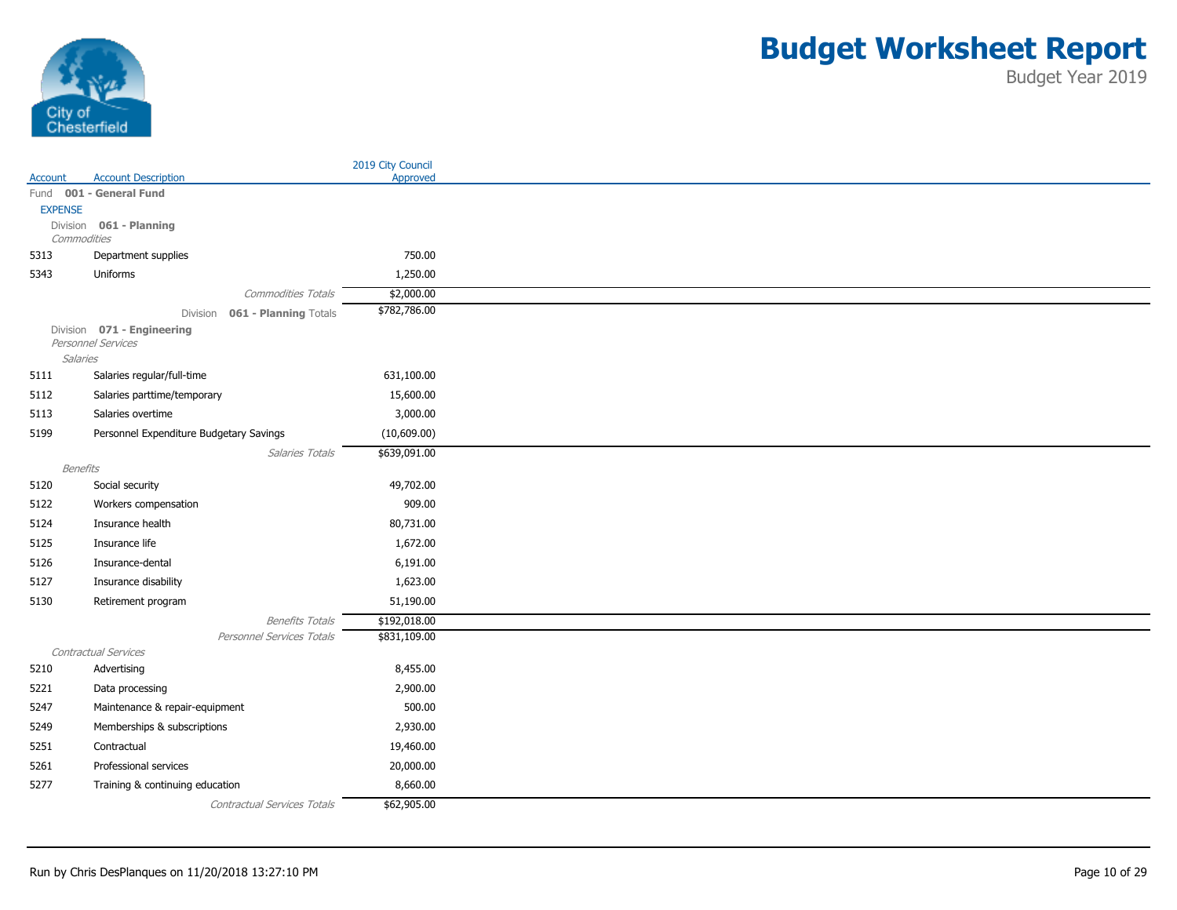

|                 |                                                   | 2019 City Council |
|-----------------|---------------------------------------------------|-------------------|
| Account         | <b>Account Description</b>                        | Approved          |
|                 | Fund 001 - General Fund                           |                   |
| <b>EXPENSE</b>  | Division 061 - Planning                           |                   |
| Commodities     |                                                   |                   |
| 5313            | Department supplies                               | 750.00            |
| 5343            | Uniforms                                          | 1,250.00          |
|                 | <b>Commodities Totals</b>                         | \$2,000.00        |
|                 | 061 - Planning Totals<br>Division                 | \$782,786.00      |
|                 | Division 071 - Engineering<br>Personnel Services  |                   |
| <b>Salaries</b> |                                                   |                   |
| 5111            | Salaries regular/full-time                        | 631,100.00        |
| 5112            | Salaries parttime/temporary                       | 15,600.00         |
| 5113            | Salaries overtime                                 | 3,000.00          |
| 5199            | Personnel Expenditure Budgetary Savings           | (10,609.00)       |
|                 | Salaries Totals                                   | \$639,091.00      |
| Benefits        |                                                   |                   |
| 5120            | Social security                                   | 49,702.00         |
| 5122            | Workers compensation                              | 909.00            |
| 5124            | Insurance health                                  | 80,731.00         |
| 5125            | Insurance life                                    | 1,672.00          |
| 5126            | Insurance-dental                                  | 6,191.00          |
| 5127            | Insurance disability                              | 1,623.00          |
| 5130            | Retirement program                                | 51,190.00         |
|                 | <b>Benefits Totals</b>                            | \$192,018.00      |
|                 | Personnel Services Totals<br>Contractual Services | \$831,109.00      |
| 5210            | Advertising                                       | 8,455.00          |
| 5221            | Data processing                                   | 2,900.00          |
| 5247            | Maintenance & repair-equipment                    | 500.00            |
|                 |                                                   |                   |
| 5249            | Memberships & subscriptions                       | 2,930.00          |
| 5251            | Contractual                                       | 19,460.00         |
| 5261            | Professional services                             | 20,000.00         |
| 5277            | Training & continuing education                   | 8,660.00          |
|                 | Contractual Services Totals                       | \$62,905.00       |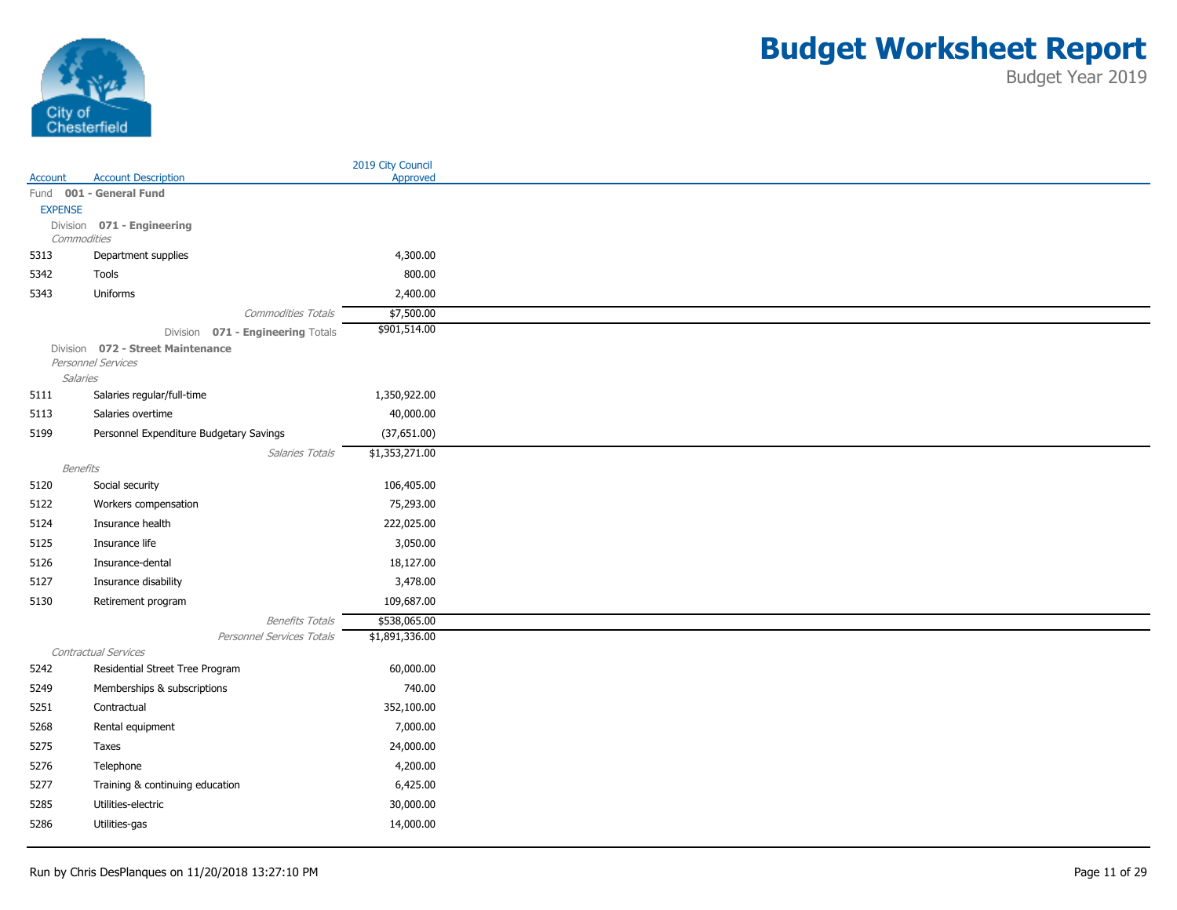

|                  |                                                         | 2019 City Council |
|------------------|---------------------------------------------------------|-------------------|
| Account          | <b>Account Description</b>                              | Approved          |
|                  | Fund 001 - General Fund                                 |                   |
| <b>EXPENSE</b>   | Division 071 - Engineering                              |                   |
| Commodities      |                                                         |                   |
| 5313             | Department supplies                                     | 4,300.00          |
| 5342             | Tools                                                   | 800.00            |
| 5343             | Uniforms                                                | 2,400.00          |
|                  | Commodities Totals                                      | \$7,500.00        |
|                  | Division 071 - Engineering Totals                       | \$901,514.00      |
|                  | Division 072 - Street Maintenance<br>Personnel Services |                   |
| Salaries         |                                                         |                   |
| 5111             | Salaries regular/full-time                              | 1,350,922.00      |
| 5113             | Salaries overtime                                       | 40,000.00         |
| 5199             | Personnel Expenditure Budgetary Savings                 | (37,651.00)       |
|                  | Salaries Totals                                         | \$1,353,271.00    |
| Benefits<br>5120 | Social security                                         | 106,405.00        |
| 5122             | Workers compensation                                    | 75,293.00         |
|                  | Insurance health                                        | 222,025.00        |
| 5124             |                                                         |                   |
| 5125             | Insurance life                                          | 3,050.00          |
| 5126             | Insurance-dental                                        | 18,127.00         |
| 5127             | Insurance disability                                    | 3,478.00          |
| 5130             | Retirement program                                      | 109,687.00        |
|                  | <b>Benefits Totals</b>                                  | \$538,065.00      |
|                  | Personnel Services Totals<br>Contractual Services       | \$1,891,336.00    |
| 5242             | Residential Street Tree Program                         | 60,000.00         |
| 5249             | Memberships & subscriptions                             | 740.00            |
| 5251             | Contractual                                             | 352,100.00        |
| 5268             | Rental equipment                                        | 7,000.00          |
| 5275             | Taxes                                                   | 24,000.00         |
| 5276             | Telephone                                               | 4,200.00          |
|                  |                                                         |                   |
| 5277             | Training & continuing education                         | 6,425.00          |
| 5285             | Utilities-electric                                      | 30,000.00         |
| 5286             | Utilities-gas                                           | 14,000.00         |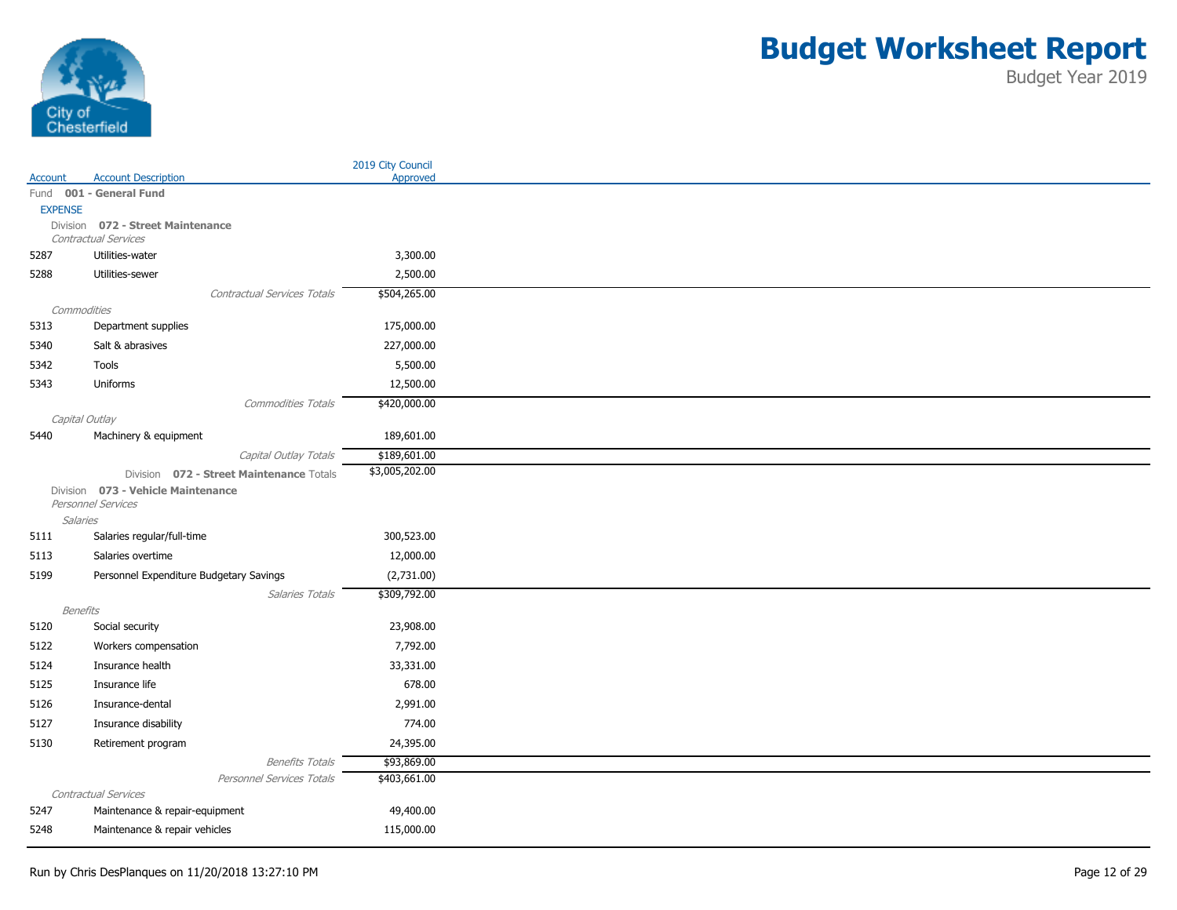

|                         |                                                        | 2019 City Council |
|-------------------------|--------------------------------------------------------|-------------------|
| Account                 | <b>Account Description</b><br>Fund 001 - General Fund  | Approved          |
| <b>EXPENSE</b>          |                                                        |                   |
|                         | Division 072 - Street Maintenance                      |                   |
|                         | Contractual Services                                   |                   |
| 5287                    | Utilities-water                                        | 3,300.00          |
| 5288                    | Utilities-sewer                                        | 2,500.00          |
|                         | <b>Contractual Services Totals</b>                     | \$504,265.00      |
| Commodities             |                                                        |                   |
| 5313                    | Department supplies                                    | 175,000.00        |
| 5340                    | Salt & abrasives                                       | 227,000.00        |
| 5342                    | Tools                                                  | 5,500.00          |
| 5343                    | Uniforms                                               | 12,500.00         |
|                         | <b>Commodities Totals</b>                              | \$420,000.00      |
| Capital Outlay          |                                                        |                   |
| 5440                    | Machinery & equipment                                  | 189,601.00        |
|                         | Capital Outlay Totals                                  | \$189,601.00      |
|                         | Division 072 - Street Maintenance Totals               | \$3,005,202.00    |
|                         | Division 073 - Vehicle Maintenance                     |                   |
|                         | Personnel Services                                     |                   |
| <b>Salaries</b><br>5111 | Salaries regular/full-time                             | 300,523.00        |
| 5113                    | Salaries overtime                                      | 12,000.00         |
| 5199                    |                                                        |                   |
|                         | Personnel Expenditure Budgetary Savings                | (2,731.00)        |
| <b>Benefits</b>         | Salaries Totals                                        | \$309,792.00      |
| 5120                    | Social security                                        | 23,908.00         |
| 5122                    | Workers compensation                                   | 7,792.00          |
| 5124                    | Insurance health                                       | 33,331.00         |
|                         |                                                        | 678.00            |
| 5125                    | Insurance life                                         |                   |
| 5126                    | Insurance-dental                                       | 2,991.00          |
| 5127                    | Insurance disability                                   | 774.00            |
| 5130                    | Retirement program                                     | 24,395.00         |
|                         | <b>Benefits Totals</b>                                 | \$93,869.00       |
|                         | Personnel Services Totals                              | \$403,661.00      |
| 5247                    | Contractual Services<br>Maintenance & repair-equipment | 49,400.00         |
|                         |                                                        |                   |
| 5248                    | Maintenance & repair vehicles                          | 115,000.00        |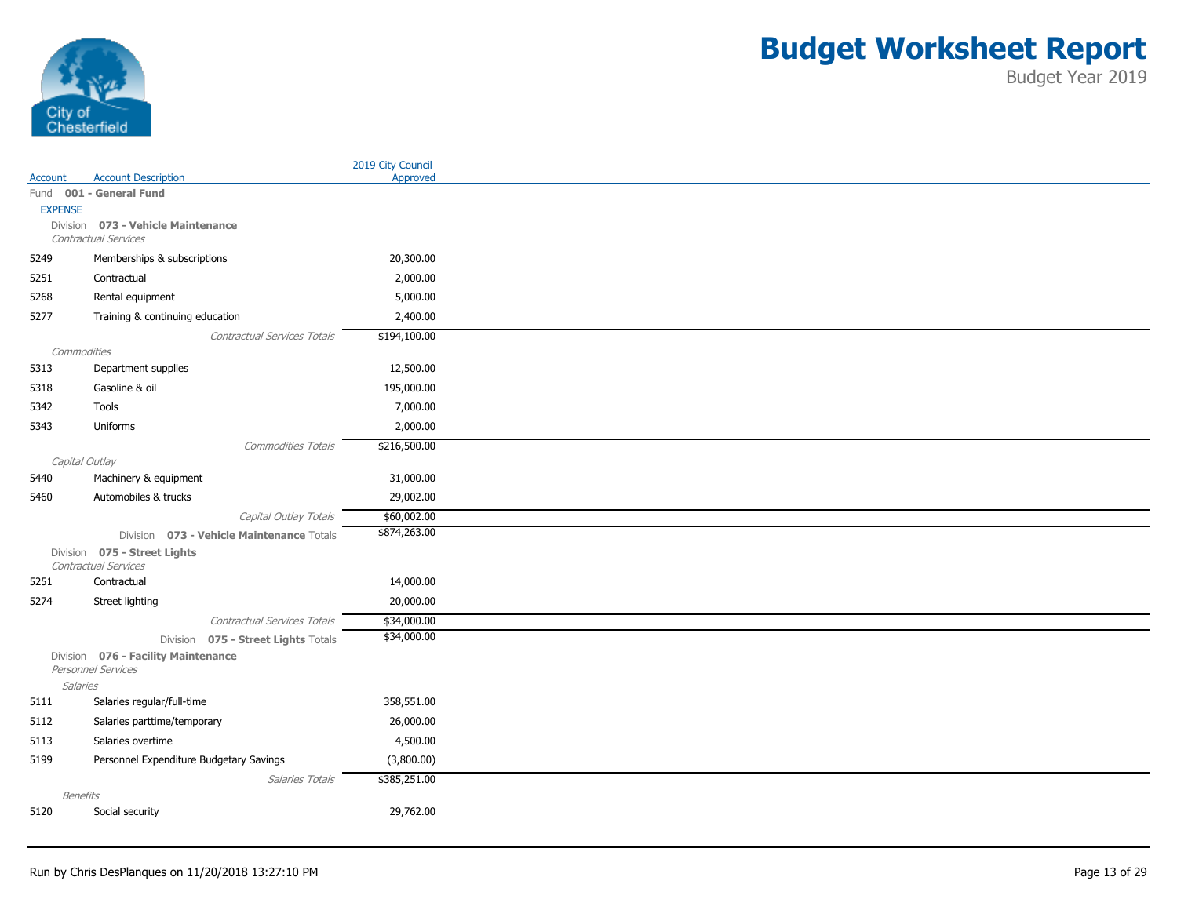

|                     |                                                           |                             | 2019 City Council          |
|---------------------|-----------------------------------------------------------|-----------------------------|----------------------------|
| Account             | <b>Account Description</b>                                |                             | Approved                   |
|                     | Fund 001 - General Fund                                   |                             |                            |
| <b>EXPENSE</b>      | Division 073 - Vehicle Maintenance                        |                             |                            |
|                     | Contractual Services                                      |                             |                            |
| 5249                | Memberships & subscriptions                               |                             | 20,300.00                  |
| 5251                | Contractual                                               |                             | 2,000.00                   |
|                     |                                                           |                             | 5,000.00                   |
| 5268                | Rental equipment                                          |                             |                            |
| 5277                | Training & continuing education                           |                             | 2,400.00                   |
|                     |                                                           | Contractual Services Totals | \$194,100.00               |
| Commodities<br>5313 | Department supplies                                       |                             | 12,500.00                  |
|                     | Gasoline & oil                                            |                             |                            |
| 5318                |                                                           |                             | 195,000.00                 |
| 5342                | Tools                                                     |                             | 7,000.00                   |
| 5343                | Uniforms                                                  |                             | 2,000.00                   |
|                     |                                                           | <b>Commodities Totals</b>   | \$216,500.00               |
| Capital Outlay      |                                                           |                             |                            |
| 5440                | Machinery & equipment                                     |                             | 31,000.00                  |
| 5460                | Automobiles & trucks                                      |                             | 29,002.00                  |
|                     |                                                           | Capital Outlay Totals       | \$60,002.00                |
|                     | Division 073 - Vehicle Maintenance Totals                 |                             | \$874,263.00               |
|                     | Division 075 - Street Lights<br>Contractual Services      |                             |                            |
| 5251                | Contractual                                               |                             | 14,000.00                  |
| 5274                | Street lighting                                           |                             | 20,000.00                  |
|                     |                                                           |                             |                            |
|                     |                                                           | Contractual Services Totals | \$34,000.00<br>\$34,000.00 |
|                     | Division 075 - Street Lights Totals                       |                             |                            |
|                     | Division 076 - Facility Maintenance<br>Personnel Services |                             |                            |
| <b>Salaries</b>     |                                                           |                             |                            |
| 5111                | Salaries regular/full-time                                |                             | 358,551.00                 |
| 5112                | Salaries parttime/temporary                               |                             | 26,000.00                  |
| 5113                | Salaries overtime                                         |                             | 4,500.00                   |
| 5199                | Personnel Expenditure Budgetary Savings                   |                             | (3,800.00)                 |
|                     |                                                           | Salaries Totals             | \$385,251.00               |
| <b>Benefits</b>     |                                                           |                             |                            |
| 5120                | Social security                                           |                             | 29,762.00                  |
|                     |                                                           |                             |                            |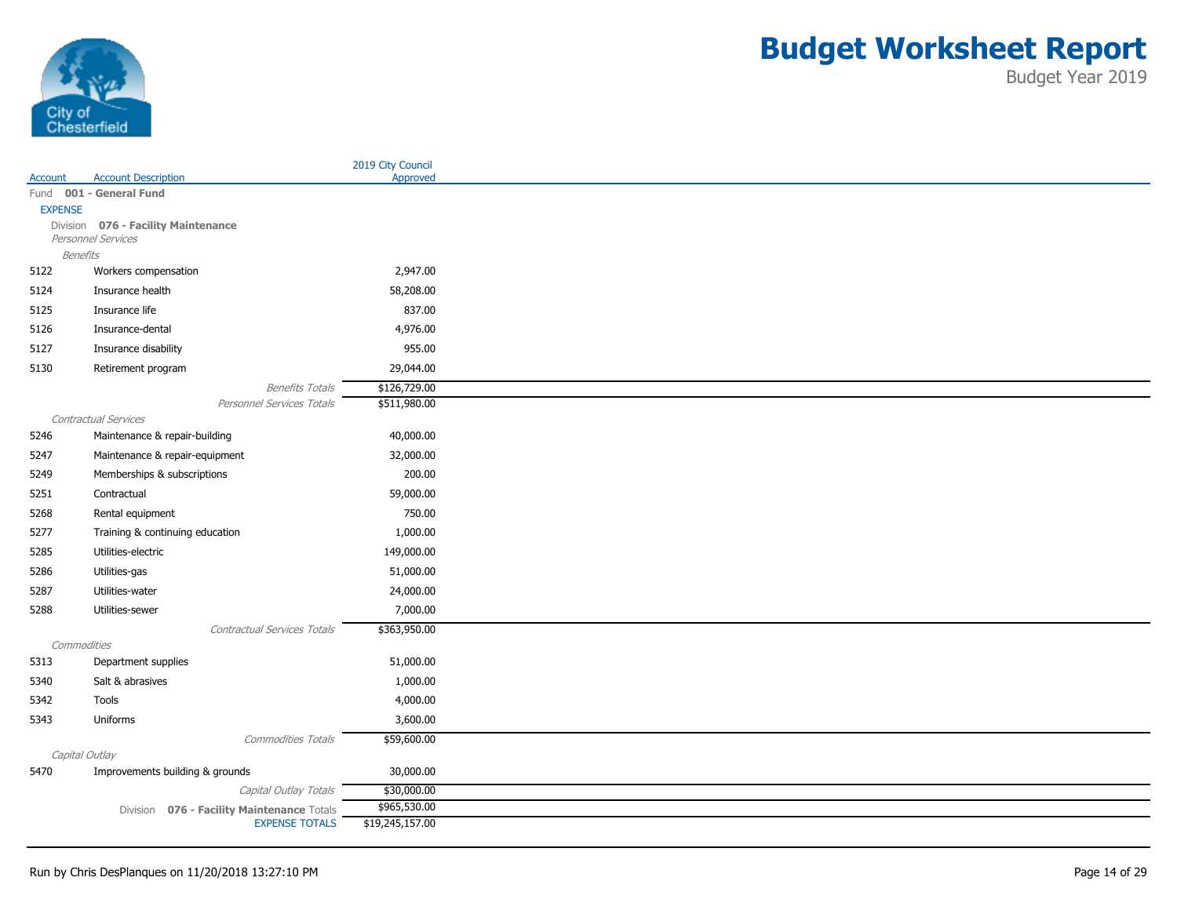

| Fund 001 - General Fund<br><b>EXPENSE</b><br>Division 076 - Facility Maintenance<br>Personnel Services<br><b>Benefits</b><br>5122<br>2,947.00<br>Workers compensation<br>5124<br>Insurance health<br>58,208.00<br>Insurance life<br>837.00<br>5125<br>5126<br>4,976.00<br>Insurance-dental<br>5127<br>Insurance disability<br>955.00<br>29,044.00<br>5130<br>Retirement program<br>\$126,729.00<br><b>Benefits Totals</b><br>Personnel Services Totals<br>\$511,980.00<br>Contractual Services<br>40,000.00<br>5246<br>Maintenance & repair-building<br>5247<br>32,000.00<br>Maintenance & repair-equipment<br>200.00<br>5249<br>Memberships & subscriptions<br>5251<br>Contractual<br>59,000.00<br>750.00<br>5268<br>Rental equipment<br>5277<br>1,000.00<br>Training & continuing education<br>Utilities-electric<br>149,000.00<br>5285<br>Utilities-gas<br>51,000.00<br>5286<br>5287<br>Utilities-water<br>24,000.00<br>7,000.00<br>5288<br>Utilities-sewer<br>\$363,950.00<br>Contractual Services Totals<br>Commodities<br>51,000.00<br>5313<br>Department supplies<br>1,000.00<br>5340<br>Salt & abrasives<br>5342<br>Tools<br>4,000.00<br>3,600.00<br>5343<br>Uniforms<br>\$59,600.00<br><b>Commodities Totals</b><br>Capital Outlay<br>5470<br>Improvements building & grounds<br>30,000.00<br>\$30,000.00<br>Capital Outlay Totals<br>\$965,530.00<br>076 - Facility Maintenance Totals<br>Division<br><b>EXPENSE TOTALS</b><br>\$19,245,157.00 |         |                            | 2019 City Council |
|----------------------------------------------------------------------------------------------------------------------------------------------------------------------------------------------------------------------------------------------------------------------------------------------------------------------------------------------------------------------------------------------------------------------------------------------------------------------------------------------------------------------------------------------------------------------------------------------------------------------------------------------------------------------------------------------------------------------------------------------------------------------------------------------------------------------------------------------------------------------------------------------------------------------------------------------------------------------------------------------------------------------------------------------------------------------------------------------------------------------------------------------------------------------------------------------------------------------------------------------------------------------------------------------------------------------------------------------------------------------------------------------------------------------------------------------------------|---------|----------------------------|-------------------|
|                                                                                                                                                                                                                                                                                                                                                                                                                                                                                                                                                                                                                                                                                                                                                                                                                                                                                                                                                                                                                                                                                                                                                                                                                                                                                                                                                                                                                                                          | Account | <b>Account Description</b> | Approved          |
|                                                                                                                                                                                                                                                                                                                                                                                                                                                                                                                                                                                                                                                                                                                                                                                                                                                                                                                                                                                                                                                                                                                                                                                                                                                                                                                                                                                                                                                          |         |                            |                   |
|                                                                                                                                                                                                                                                                                                                                                                                                                                                                                                                                                                                                                                                                                                                                                                                                                                                                                                                                                                                                                                                                                                                                                                                                                                                                                                                                                                                                                                                          |         |                            |                   |
|                                                                                                                                                                                                                                                                                                                                                                                                                                                                                                                                                                                                                                                                                                                                                                                                                                                                                                                                                                                                                                                                                                                                                                                                                                                                                                                                                                                                                                                          |         |                            |                   |
|                                                                                                                                                                                                                                                                                                                                                                                                                                                                                                                                                                                                                                                                                                                                                                                                                                                                                                                                                                                                                                                                                                                                                                                                                                                                                                                                                                                                                                                          |         |                            |                   |
|                                                                                                                                                                                                                                                                                                                                                                                                                                                                                                                                                                                                                                                                                                                                                                                                                                                                                                                                                                                                                                                                                                                                                                                                                                                                                                                                                                                                                                                          |         |                            |                   |
|                                                                                                                                                                                                                                                                                                                                                                                                                                                                                                                                                                                                                                                                                                                                                                                                                                                                                                                                                                                                                                                                                                                                                                                                                                                                                                                                                                                                                                                          |         |                            |                   |
|                                                                                                                                                                                                                                                                                                                                                                                                                                                                                                                                                                                                                                                                                                                                                                                                                                                                                                                                                                                                                                                                                                                                                                                                                                                                                                                                                                                                                                                          |         |                            |                   |
|                                                                                                                                                                                                                                                                                                                                                                                                                                                                                                                                                                                                                                                                                                                                                                                                                                                                                                                                                                                                                                                                                                                                                                                                                                                                                                                                                                                                                                                          |         |                            |                   |
|                                                                                                                                                                                                                                                                                                                                                                                                                                                                                                                                                                                                                                                                                                                                                                                                                                                                                                                                                                                                                                                                                                                                                                                                                                                                                                                                                                                                                                                          |         |                            |                   |
|                                                                                                                                                                                                                                                                                                                                                                                                                                                                                                                                                                                                                                                                                                                                                                                                                                                                                                                                                                                                                                                                                                                                                                                                                                                                                                                                                                                                                                                          |         |                            |                   |
|                                                                                                                                                                                                                                                                                                                                                                                                                                                                                                                                                                                                                                                                                                                                                                                                                                                                                                                                                                                                                                                                                                                                                                                                                                                                                                                                                                                                                                                          |         |                            |                   |
|                                                                                                                                                                                                                                                                                                                                                                                                                                                                                                                                                                                                                                                                                                                                                                                                                                                                                                                                                                                                                                                                                                                                                                                                                                                                                                                                                                                                                                                          |         |                            |                   |
|                                                                                                                                                                                                                                                                                                                                                                                                                                                                                                                                                                                                                                                                                                                                                                                                                                                                                                                                                                                                                                                                                                                                                                                                                                                                                                                                                                                                                                                          |         |                            |                   |
|                                                                                                                                                                                                                                                                                                                                                                                                                                                                                                                                                                                                                                                                                                                                                                                                                                                                                                                                                                                                                                                                                                                                                                                                                                                                                                                                                                                                                                                          |         |                            |                   |
|                                                                                                                                                                                                                                                                                                                                                                                                                                                                                                                                                                                                                                                                                                                                                                                                                                                                                                                                                                                                                                                                                                                                                                                                                                                                                                                                                                                                                                                          |         |                            |                   |
|                                                                                                                                                                                                                                                                                                                                                                                                                                                                                                                                                                                                                                                                                                                                                                                                                                                                                                                                                                                                                                                                                                                                                                                                                                                                                                                                                                                                                                                          |         |                            |                   |
|                                                                                                                                                                                                                                                                                                                                                                                                                                                                                                                                                                                                                                                                                                                                                                                                                                                                                                                                                                                                                                                                                                                                                                                                                                                                                                                                                                                                                                                          |         |                            |                   |
|                                                                                                                                                                                                                                                                                                                                                                                                                                                                                                                                                                                                                                                                                                                                                                                                                                                                                                                                                                                                                                                                                                                                                                                                                                                                                                                                                                                                                                                          |         |                            |                   |
|                                                                                                                                                                                                                                                                                                                                                                                                                                                                                                                                                                                                                                                                                                                                                                                                                                                                                                                                                                                                                                                                                                                                                                                                                                                                                                                                                                                                                                                          |         |                            |                   |
|                                                                                                                                                                                                                                                                                                                                                                                                                                                                                                                                                                                                                                                                                                                                                                                                                                                                                                                                                                                                                                                                                                                                                                                                                                                                                                                                                                                                                                                          |         |                            |                   |
|                                                                                                                                                                                                                                                                                                                                                                                                                                                                                                                                                                                                                                                                                                                                                                                                                                                                                                                                                                                                                                                                                                                                                                                                                                                                                                                                                                                                                                                          |         |                            |                   |
|                                                                                                                                                                                                                                                                                                                                                                                                                                                                                                                                                                                                                                                                                                                                                                                                                                                                                                                                                                                                                                                                                                                                                                                                                                                                                                                                                                                                                                                          |         |                            |                   |
|                                                                                                                                                                                                                                                                                                                                                                                                                                                                                                                                                                                                                                                                                                                                                                                                                                                                                                                                                                                                                                                                                                                                                                                                                                                                                                                                                                                                                                                          |         |                            |                   |
|                                                                                                                                                                                                                                                                                                                                                                                                                                                                                                                                                                                                                                                                                                                                                                                                                                                                                                                                                                                                                                                                                                                                                                                                                                                                                                                                                                                                                                                          |         |                            |                   |
|                                                                                                                                                                                                                                                                                                                                                                                                                                                                                                                                                                                                                                                                                                                                                                                                                                                                                                                                                                                                                                                                                                                                                                                                                                                                                                                                                                                                                                                          |         |                            |                   |
|                                                                                                                                                                                                                                                                                                                                                                                                                                                                                                                                                                                                                                                                                                                                                                                                                                                                                                                                                                                                                                                                                                                                                                                                                                                                                                                                                                                                                                                          |         |                            |                   |
|                                                                                                                                                                                                                                                                                                                                                                                                                                                                                                                                                                                                                                                                                                                                                                                                                                                                                                                                                                                                                                                                                                                                                                                                                                                                                                                                                                                                                                                          |         |                            |                   |
|                                                                                                                                                                                                                                                                                                                                                                                                                                                                                                                                                                                                                                                                                                                                                                                                                                                                                                                                                                                                                                                                                                                                                                                                                                                                                                                                                                                                                                                          |         |                            |                   |
|                                                                                                                                                                                                                                                                                                                                                                                                                                                                                                                                                                                                                                                                                                                                                                                                                                                                                                                                                                                                                                                                                                                                                                                                                                                                                                                                                                                                                                                          |         |                            |                   |
|                                                                                                                                                                                                                                                                                                                                                                                                                                                                                                                                                                                                                                                                                                                                                                                                                                                                                                                                                                                                                                                                                                                                                                                                                                                                                                                                                                                                                                                          |         |                            |                   |
|                                                                                                                                                                                                                                                                                                                                                                                                                                                                                                                                                                                                                                                                                                                                                                                                                                                                                                                                                                                                                                                                                                                                                                                                                                                                                                                                                                                                                                                          |         |                            |                   |
|                                                                                                                                                                                                                                                                                                                                                                                                                                                                                                                                                                                                                                                                                                                                                                                                                                                                                                                                                                                                                                                                                                                                                                                                                                                                                                                                                                                                                                                          |         |                            |                   |
|                                                                                                                                                                                                                                                                                                                                                                                                                                                                                                                                                                                                                                                                                                                                                                                                                                                                                                                                                                                                                                                                                                                                                                                                                                                                                                                                                                                                                                                          |         |                            |                   |
|                                                                                                                                                                                                                                                                                                                                                                                                                                                                                                                                                                                                                                                                                                                                                                                                                                                                                                                                                                                                                                                                                                                                                                                                                                                                                                                                                                                                                                                          |         |                            |                   |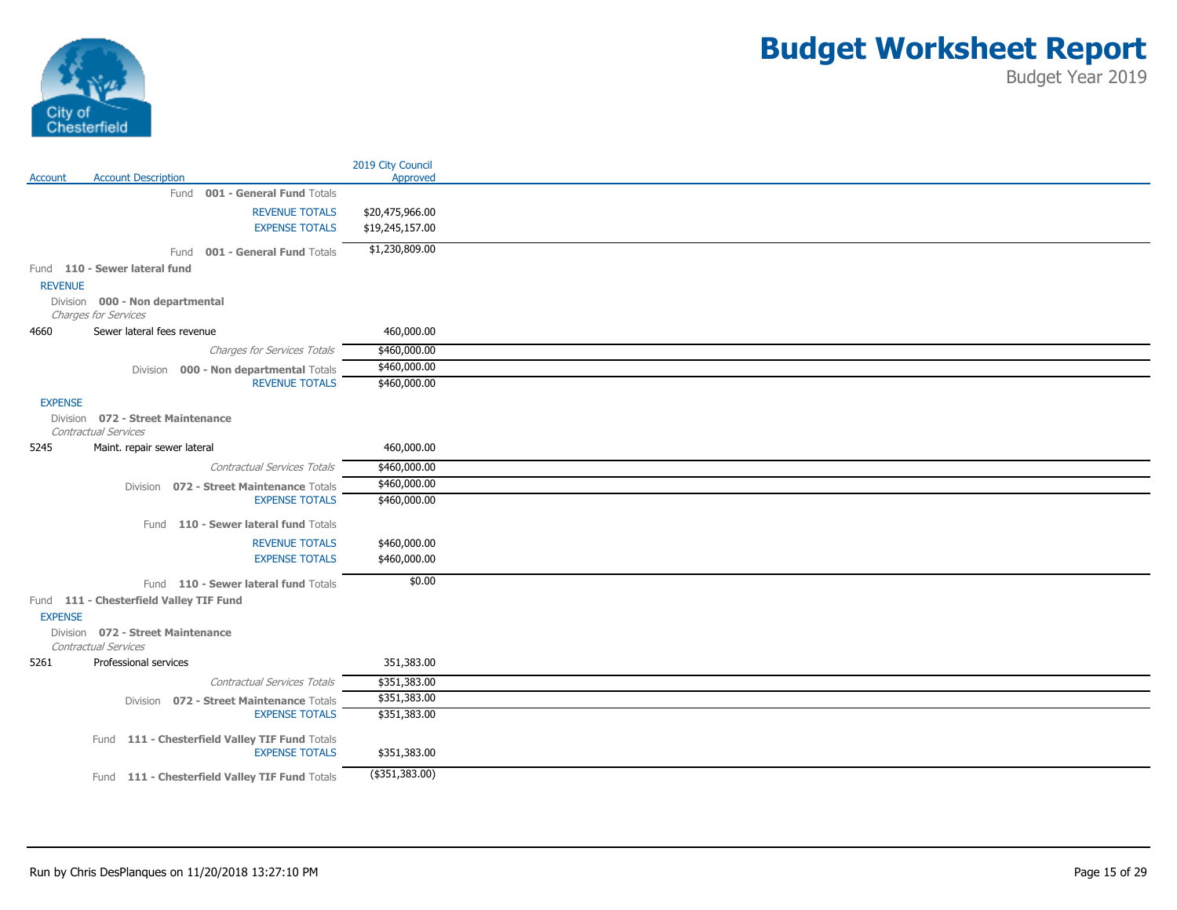

|                |                                                                   | 2019 City Council |
|----------------|-------------------------------------------------------------------|-------------------|
| Account        | <b>Account Description</b>                                        | Approved          |
|                | Fund 001 - General Fund Totals                                    |                   |
|                | <b>REVENUE TOTALS</b>                                             | \$20,475,966.00   |
|                | <b>EXPENSE TOTALS</b>                                             | \$19,245,157.00   |
|                | Fund 001 - General Fund Totals                                    | \$1,230,809.00    |
|                | Fund 110 - Sewer lateral fund                                     |                   |
| <b>REVENUE</b> |                                                                   |                   |
|                | Division 000 - Non departmental                                   |                   |
|                | Charges for Services                                              |                   |
| 4660           | Sewer lateral fees revenue                                        | 460,000.00        |
|                | Charges for Services Totals                                       | \$460,000.00      |
|                | Division 000 - Non departmental Totals                            | \$460,000.00      |
|                | <b>REVENUE TOTALS</b>                                             | \$460,000.00      |
| <b>EXPENSE</b> |                                                                   |                   |
|                | Division 072 - Street Maintenance<br>Contractual Services         |                   |
| 5245           | Maint. repair sewer lateral                                       | 460,000.00        |
|                | Contractual Services Totals                                       | \$460,000.00      |
|                |                                                                   | \$460,000.00      |
|                | Division 072 - Street Maintenance Totals<br><b>EXPENSE TOTALS</b> | \$460,000.00      |
|                |                                                                   |                   |
|                | Fund 110 - Sewer lateral fund Totals                              |                   |
|                | <b>REVENUE TOTALS</b>                                             | \$460,000.00      |
|                | <b>EXPENSE TOTALS</b>                                             | \$460,000.00      |
|                | Fund 110 - Sewer lateral fund Totals                              | \$0.00            |
|                | Fund 111 - Chesterfield Valley TIF Fund                           |                   |
| <b>EXPENSE</b> |                                                                   |                   |
|                | Division 072 - Street Maintenance                                 |                   |
|                | Contractual Services                                              |                   |
| 5261           | Professional services                                             | 351,383.00        |
|                | Contractual Services Totals                                       | \$351,383.00      |
|                | Division 072 - Street Maintenance Totals                          | \$351,383.00      |
|                | <b>EXPENSE TOTALS</b>                                             | \$351,383.00      |
|                | Fund 111 - Chesterfield Valley TIF Fund Totals                    |                   |
|                | <b>EXPENSE TOTALS</b>                                             | \$351,383.00      |
|                |                                                                   |                   |
|                | Fund 111 - Chesterfield Valley TIF Fund Totals                    | (\$351,383.00)    |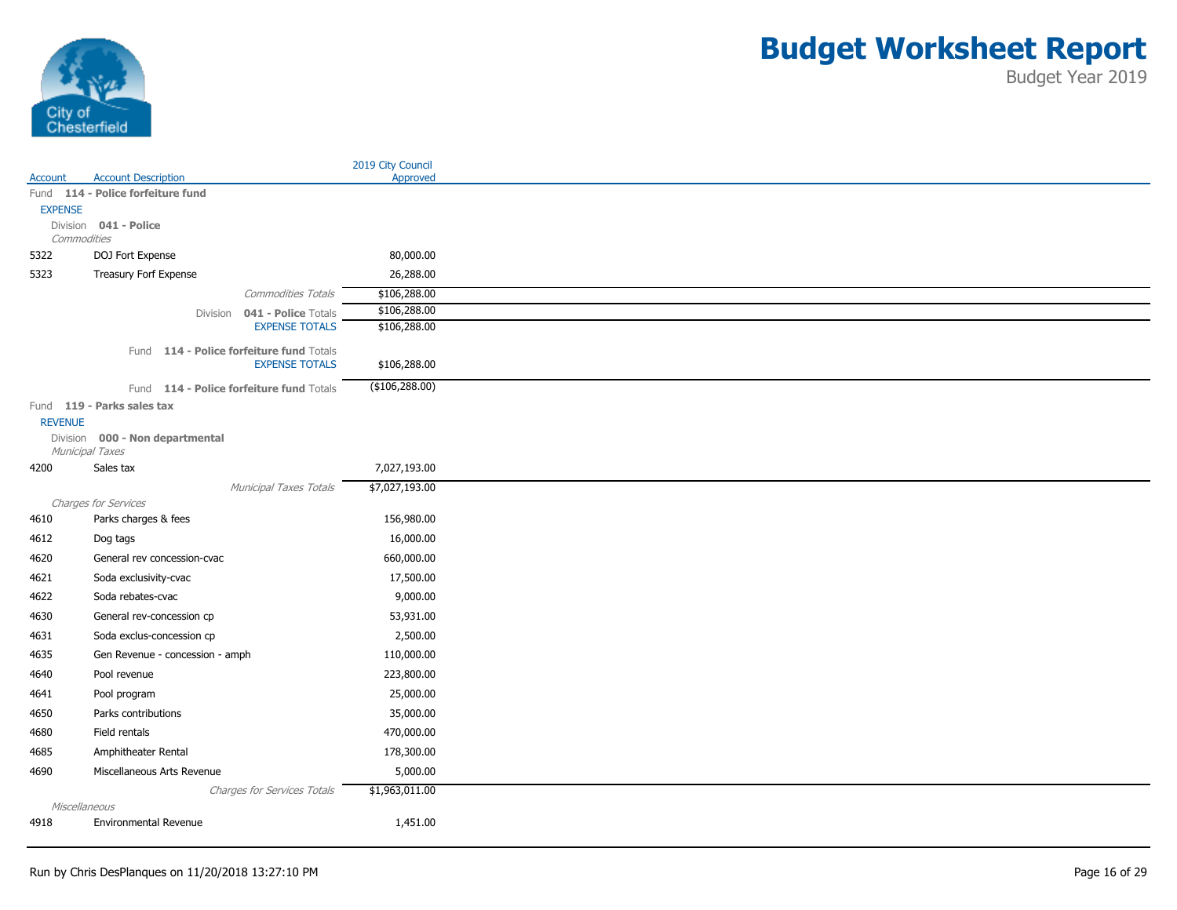

|                |                                          |                              | 2019 City Council |
|----------------|------------------------------------------|------------------------------|-------------------|
| Account        | <b>Account Description</b>               |                              | Approved          |
|                | Fund 114 - Police forfeiture fund        |                              |                   |
| <b>EXPENSE</b> | Division 041 - Police                    |                              |                   |
| Commodities    |                                          |                              |                   |
| 5322           | DOJ Fort Expense                         |                              | 80,000.00         |
| 5323           | Treasury Forf Expense                    |                              | 26,288.00         |
|                |                                          | Commodities Totals           | \$106,288.00      |
|                |                                          | Division 041 - Police Totals | \$106,288.00      |
|                |                                          | <b>EXPENSE TOTALS</b>        | \$106,288.00      |
|                | Fund 114 - Police forfeiture fund Totals |                              |                   |
|                |                                          | <b>EXPENSE TOTALS</b>        | \$106,288.00      |
|                | Fund 114 - Police forfeiture fund Totals |                              | (\$106, 288.00)   |
|                | Fund 119 - Parks sales tax               |                              |                   |
| <b>REVENUE</b> |                                          |                              |                   |
|                | Division 000 - Non departmental          |                              |                   |
|                | Municipal Taxes                          |                              |                   |
| 4200           | Sales tax                                |                              | 7,027,193.00      |
|                |                                          | Municipal Taxes Totals       | \$7,027,193.00    |
|                | Charges for Services                     |                              |                   |
| 4610           | Parks charges & fees                     |                              | 156,980.00        |
| 4612           | Dog tags                                 |                              | 16,000.00         |
| 4620           | General rev concession-cvac              |                              | 660,000.00        |
| 4621           | Soda exclusivity-cvac                    |                              | 17,500.00         |
| 4622           | Soda rebates-cvac                        |                              | 9,000.00          |
| 4630           | General rev-concession cp                |                              | 53,931.00         |
| 4631           | Soda exclus-concession cp                |                              | 2,500.00          |
| 4635           | Gen Revenue - concession - amph          |                              | 110,000.00        |
| 4640           | Pool revenue                             |                              | 223,800.00        |
| 4641           | Pool program                             |                              | 25,000.00         |
| 4650           | Parks contributions                      |                              | 35,000.00         |
| 4680           | Field rentals                            |                              | 470,000.00        |
| 4685           | Amphitheater Rental                      |                              | 178,300.00        |
| 4690           | Miscellaneous Arts Revenue               |                              | 5,000.00          |
|                |                                          |                              | \$1,963,011.00    |
| Miscellaneous  |                                          | Charges for Services Totals  |                   |
| 4918           | Environmental Revenue                    |                              | 1,451.00          |
|                |                                          |                              |                   |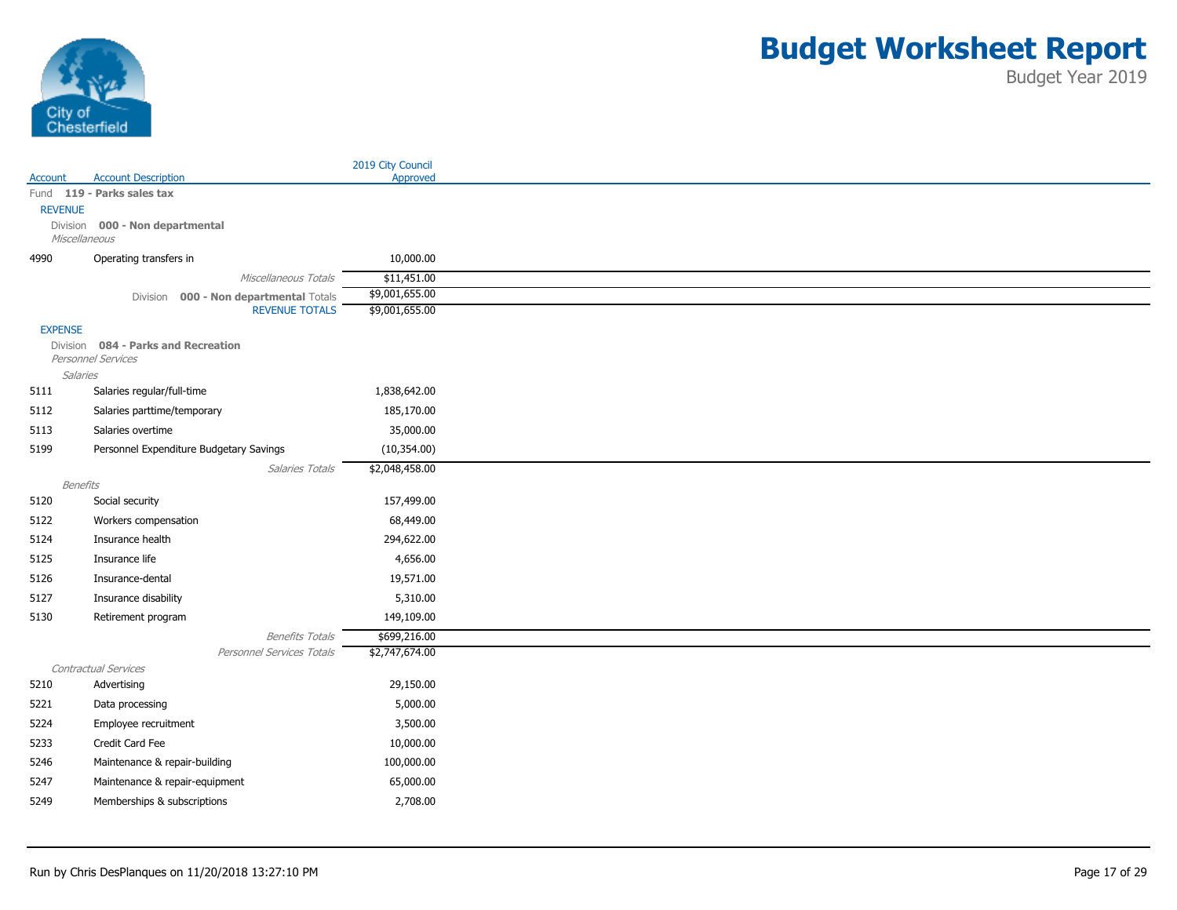

|                |                                         |                           | 2019 City Council |
|----------------|-----------------------------------------|---------------------------|-------------------|
| Account        | <b>Account Description</b>              |                           | Approved          |
|                | Fund 119 - Parks sales tax              |                           |                   |
| <b>REVENUE</b> |                                         |                           |                   |
| Miscellaneous  | Division 000 - Non departmental         |                           |                   |
| 4990           | Operating transfers in                  |                           | 10,000.00         |
|                |                                         | Miscellaneous Totals      | \$11,451.00       |
|                | Division 000 - Non departmental Totals  |                           | \$9,001,655.00    |
|                |                                         | <b>REVENUE TOTALS</b>     | \$9,001,655.00    |
| <b>EXPENSE</b> |                                         |                           |                   |
|                | Division 084 - Parks and Recreation     |                           |                   |
|                | Personnel Services                      |                           |                   |
| Salaries       |                                         |                           |                   |
| 5111           | Salaries regular/full-time              |                           | 1,838,642.00      |
| 5112           | Salaries parttime/temporary             |                           | 185,170.00        |
| 5113           | Salaries overtime                       |                           | 35,000.00         |
| 5199           | Personnel Expenditure Budgetary Savings |                           | (10, 354.00)      |
|                |                                         | Salaries Totals           | \$2,048,458.00    |
| Benefits       |                                         |                           |                   |
| 5120           | Social security                         |                           | 157,499.00        |
| 5122           | Workers compensation                    |                           | 68,449.00         |
| 5124           | Insurance health                        |                           | 294,622.00        |
| 5125           | Insurance life                          |                           | 4,656.00          |
| 5126           | Insurance-dental                        |                           | 19,571.00         |
| 5127           | Insurance disability                    |                           | 5,310.00          |
| 5130           | Retirement program                      |                           | 149,109.00        |
|                |                                         | <b>Benefits Totals</b>    | \$699,216.00      |
|                |                                         | Personnel Services Totals | \$2,747,674.00    |
|                | Contractual Services                    |                           |                   |
| 5210           | Advertising                             |                           | 29,150.00         |
| 5221           | Data processing                         |                           | 5,000.00          |
| 5224           | Employee recruitment                    |                           | 3,500.00          |
| 5233           | Credit Card Fee                         |                           | 10,000.00         |
| 5246           | Maintenance & repair-building           |                           | 100,000.00        |
| 5247           | Maintenance & repair-equipment          |                           | 65,000.00         |
| 5249           | Memberships & subscriptions             |                           | 2,708.00          |
|                |                                         |                           |                   |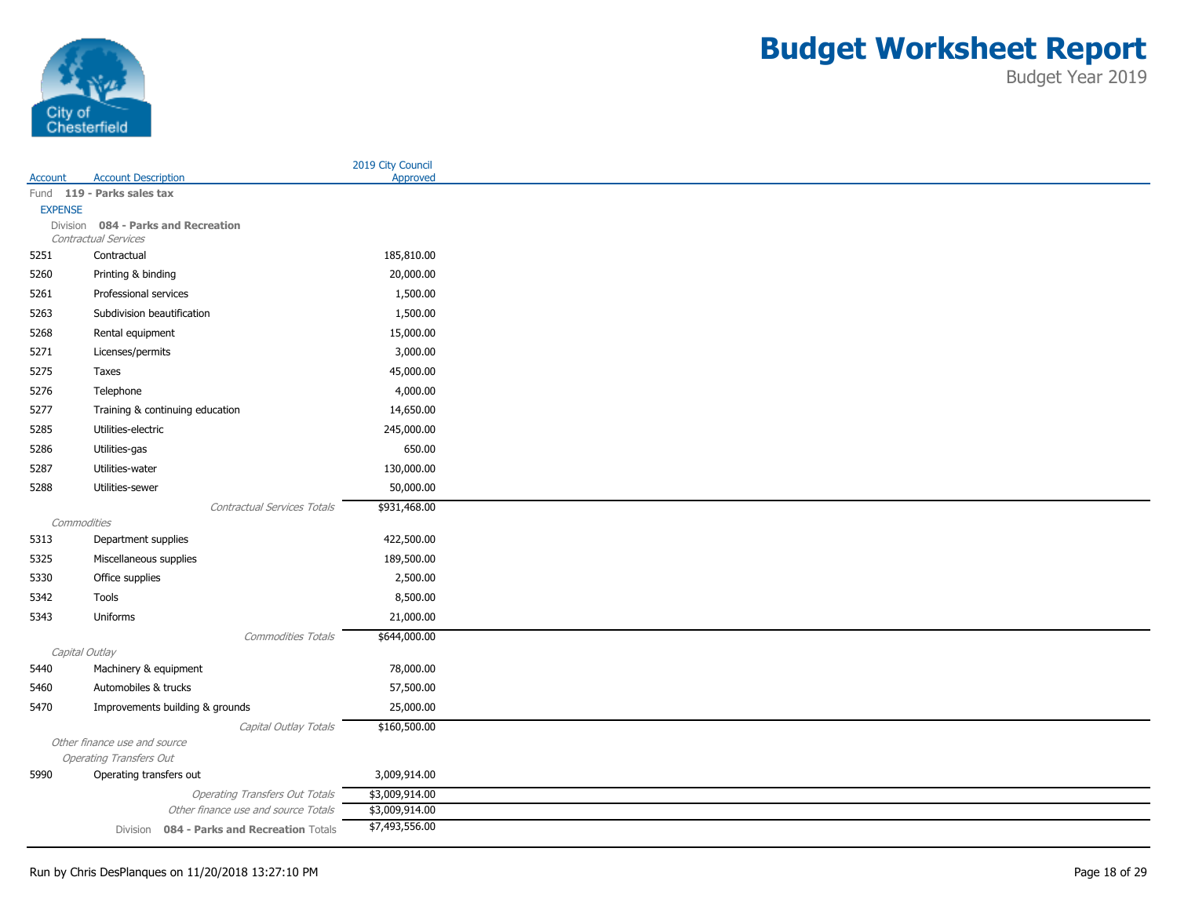

|                |                                            |                                       | 2019 City Council |
|----------------|--------------------------------------------|---------------------------------------|-------------------|
| Account        | <b>Account Description</b>                 |                                       | Approved          |
|                | Fund 119 - Parks sales tax                 |                                       |                   |
| <b>EXPENSE</b> | Division 084 - Parks and Recreation        |                                       |                   |
|                | Contractual Services                       |                                       |                   |
| 5251           | Contractual                                |                                       | 185,810.00        |
| 5260           | Printing & binding                         |                                       | 20,000.00         |
| 5261           | Professional services                      |                                       | 1,500.00          |
| 5263           | Subdivision beautification                 |                                       | 1,500.00          |
| 5268           | Rental equipment                           |                                       | 15,000.00         |
| 5271           | Licenses/permits                           |                                       | 3,000.00          |
| 5275           | Taxes                                      |                                       | 45,000.00         |
| 5276           | Telephone                                  |                                       | 4,000.00          |
| 5277           | Training & continuing education            |                                       | 14,650.00         |
| 5285           | Utilities-electric                         |                                       | 245,000.00        |
| 5286           | Utilities-gas                              |                                       | 650.00            |
| 5287           | Utilities-water                            |                                       | 130,000.00        |
| 5288           | Utilities-sewer                            |                                       | 50,000.00         |
|                |                                            | Contractual Services Totals           | \$931,468.00      |
| Commodities    |                                            |                                       |                   |
| 5313           | Department supplies                        |                                       | 422,500.00        |
| 5325           | Miscellaneous supplies                     |                                       | 189,500.00        |
| 5330           | Office supplies                            |                                       | 2,500.00          |
| 5342           | Tools                                      |                                       | 8,500.00          |
| 5343           | Uniforms                                   |                                       | 21,000.00         |
|                |                                            | <b>Commodities Totals</b>             | \$644,000.00      |
| Capital Outlay |                                            |                                       |                   |
| 5440           | Machinery & equipment                      |                                       | 78,000.00         |
| 5460           | Automobiles & trucks                       |                                       | 57,500.00         |
| 5470           | Improvements building & grounds            |                                       | 25,000.00         |
|                |                                            | Capital Outlay Totals                 | \$160,500.00      |
|                | Other finance use and source               |                                       |                   |
|                | <b>Operating Transfers Out</b>             |                                       |                   |
| 5990           | Operating transfers out                    |                                       | 3,009,914.00      |
|                |                                            | <b>Operating Transfers Out Totals</b> | \$3,009,914.00    |
|                |                                            | Other finance use and source Totals   | \$3,009,914.00    |
|                | Division 084 - Parks and Recreation Totals |                                       | \$7,493,556.00    |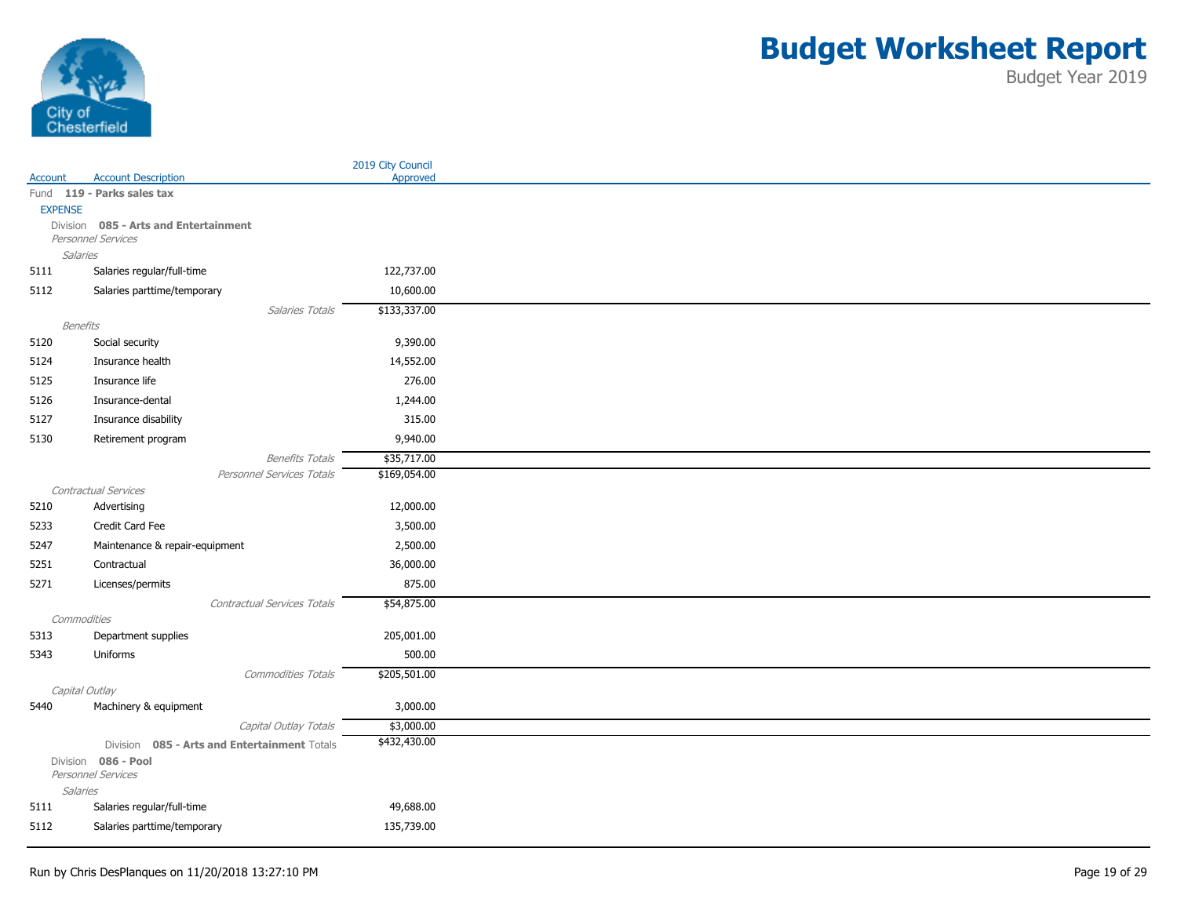

|                         |                                              | 2019 City Council |
|-------------------------|----------------------------------------------|-------------------|
| Account                 | <b>Account Description</b>                   | Approved          |
|                         | Fund 119 - Parks sales tax                   |                   |
| <b>EXPENSE</b>          | Division 085 - Arts and Entertainment        |                   |
|                         | Personnel Services                           |                   |
| <b>Salaries</b>         |                                              |                   |
| 5111                    | Salaries regular/full-time                   | 122,737.00        |
| 5112                    | Salaries parttime/temporary                  | 10,600.00         |
|                         | Salaries Totals                              | \$133,337.00      |
|                         | Benefits                                     |                   |
| 5120                    | Social security                              | 9,390.00          |
| 5124                    | Insurance health                             | 14,552.00         |
| 5125                    | Insurance life                               | 276.00            |
| 5126                    | Insurance-dental                             | 1,244.00          |
| 5127                    | Insurance disability                         | 315.00            |
| 5130                    | Retirement program                           | 9,940.00          |
|                         | <b>Benefits Totals</b>                       | \$35,717.00       |
|                         | Personnel Services Totals                    | \$169,054.00      |
|                         | Contractual Services                         |                   |
| 5210                    | Advertising                                  | 12,000.00         |
| 5233                    | Credit Card Fee                              | 3,500.00          |
| 5247                    | Maintenance & repair-equipment               | 2,500.00          |
| 5251                    | Contractual                                  | 36,000.00         |
| 5271                    | Licenses/permits                             | 875.00            |
|                         | Contractual Services Totals                  | \$54,875.00       |
|                         | Commodities                                  |                   |
| 5313                    | Department supplies                          | 205,001.00        |
| 5343                    | Uniforms                                     | 500.00            |
|                         | Commodities Totals                           | \$205,501.00      |
|                         | Capital Outlay                               |                   |
| 5440                    | Machinery & equipment                        | 3,000.00          |
|                         | Capital Outlay Totals                        | \$3,000.00        |
|                         | Division 085 - Arts and Entertainment Totals | \$432,430.00      |
|                         | Division 086 - Pool                          |                   |
|                         | Personnel Services                           |                   |
| <b>Salaries</b><br>5111 | Salaries regular/full-time                   | 49,688.00         |
|                         |                                              |                   |
| 5112                    | Salaries parttime/temporary                  | 135,739.00        |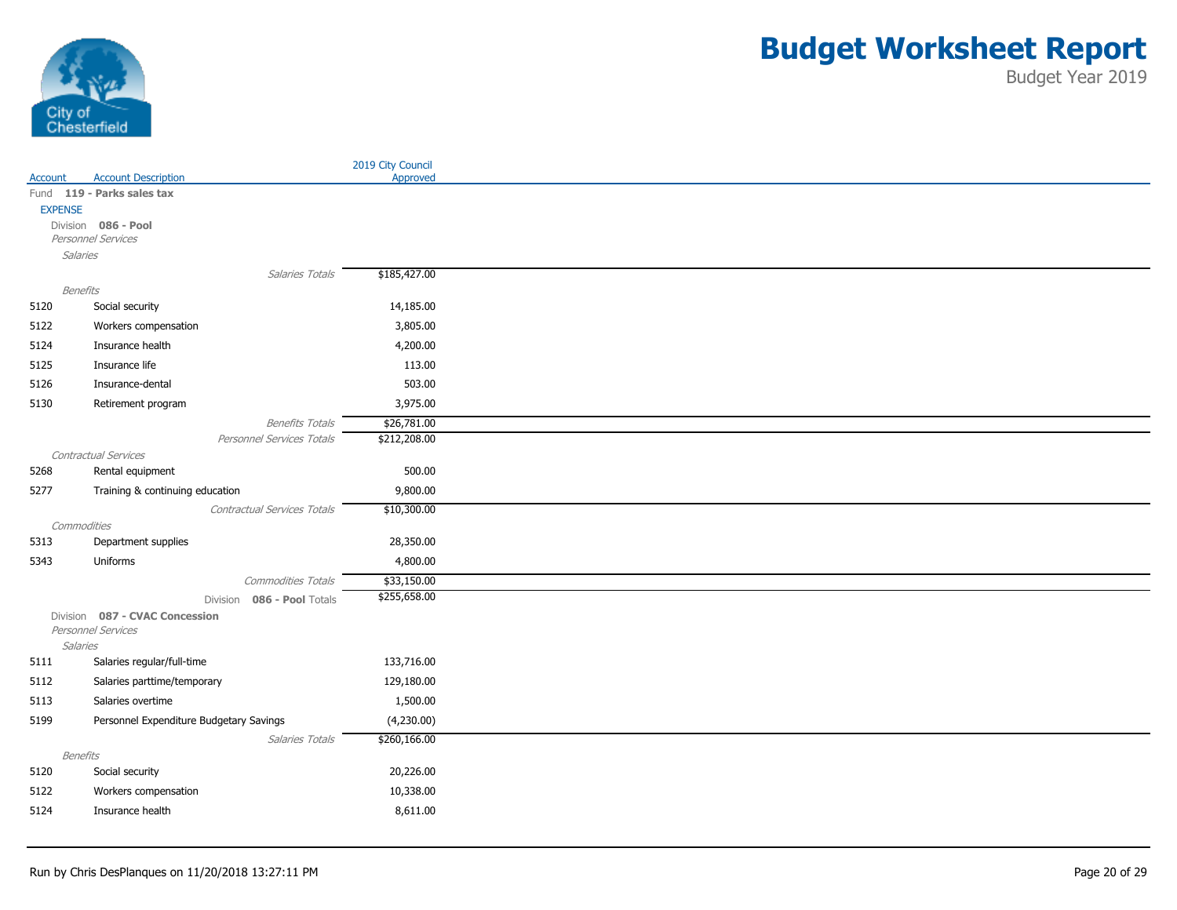

|                 |                                                     | 2019 City Council           |
|-----------------|-----------------------------------------------------|-----------------------------|
| Account         | <b>Account Description</b>                          | Approved                    |
|                 | Fund 119 - Parks sales tax                          |                             |
| <b>EXPENSE</b>  | Division 086 - Pool                                 |                             |
|                 | Personnel Services                                  |                             |
| <b>Salaries</b> |                                                     |                             |
|                 | Salaries Totals                                     | \$185,427.00                |
| Benefits        |                                                     |                             |
| 5120            | Social security                                     | 14,185.00                   |
| 5122            | Workers compensation                                | 3,805.00                    |
| 5124            | Insurance health                                    | 4,200.00                    |
| 5125            | Insurance life                                      | 113.00                      |
| 5126            | Insurance-dental                                    | 503.00                      |
| 5130            |                                                     | 3,975.00                    |
|                 | Retirement program                                  |                             |
|                 | <b>Benefits Totals</b><br>Personnel Services Totals | \$26,781.00<br>\$212,208.00 |
|                 | Contractual Services                                |                             |
| 5268            | Rental equipment                                    | 500.00                      |
| 5277            | Training & continuing education                     | 9,800.00                    |
|                 | Contractual Services Totals                         | \$10,300.00                 |
| Commodities     |                                                     |                             |
| 5313            | Department supplies                                 | 28,350.00                   |
| 5343            | Uniforms                                            | 4,800.00                    |
|                 | Commodities Totals                                  | \$33,150.00                 |
|                 | Division 086 - Pool Totals                          | \$255,658.00                |
|                 | Division 087 - CVAC Concession                      |                             |
|                 | Personnel Services                                  |                             |
| <b>Salaries</b> |                                                     |                             |
| 5111            | Salaries regular/full-time                          | 133,716.00                  |
| 5112            | Salaries parttime/temporary                         | 129,180.00                  |
| 5113            | Salaries overtime                                   | 1,500.00                    |
| 5199            | Personnel Expenditure Budgetary Savings             | (4,230.00)                  |
|                 | Salaries Totals                                     | \$260,166.00                |
| Benefits        |                                                     |                             |
| 5120            | Social security                                     | 20,226.00                   |
| 5122            | Workers compensation                                | 10,338.00                   |
| 5124            | Insurance health                                    | 8,611.00                    |
|                 |                                                     |                             |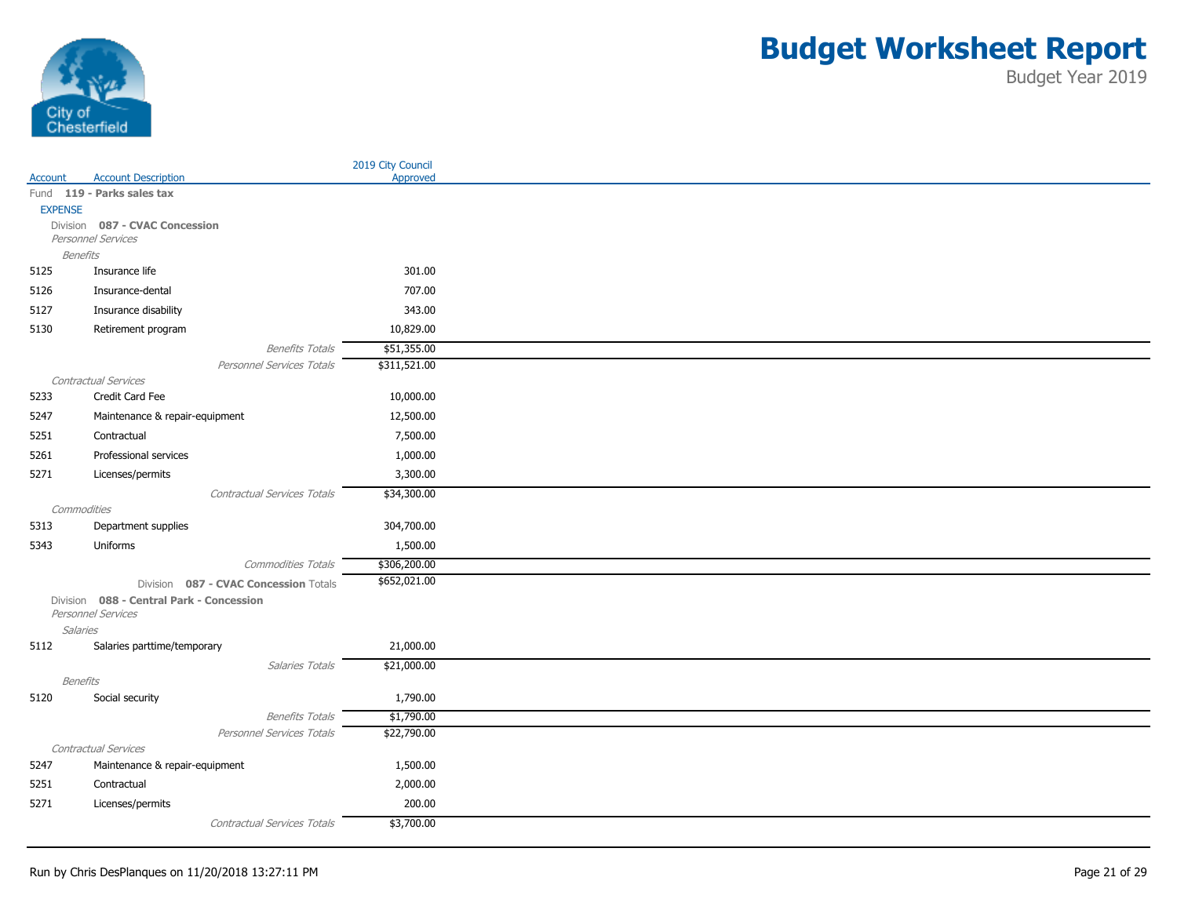

|                 |                                                      | 2019 City Council         |
|-----------------|------------------------------------------------------|---------------------------|
| Account         | <b>Account Description</b>                           | Approved                  |
|                 | Fund 119 - Parks sales tax                           |                           |
| <b>EXPENSE</b>  |                                                      |                           |
|                 | Division 087 - CVAC Concession<br>Personnel Services |                           |
| <b>Benefits</b> |                                                      |                           |
| 5125            | Insurance life                                       | 301.00                    |
| 5126            | Insurance-dental                                     | 707.00                    |
| 5127            | Insurance disability                                 | 343.00                    |
| 5130            | Retirement program                                   | 10,829.00                 |
|                 | <b>Benefits Totals</b>                               | \$51,355.00               |
|                 | Personnel Services Totals                            | \$311,521.00              |
|                 | Contractual Services                                 |                           |
| 5233            | Credit Card Fee                                      | 10,000.00                 |
| 5247            | Maintenance & repair-equipment                       | 12,500.00                 |
| 5251            | Contractual                                          | 7,500.00                  |
| 5261            | Professional services                                | 1,000.00                  |
| 5271            | Licenses/permits                                     | 3,300.00                  |
|                 | Contractual Services Totals                          | \$34,300.00               |
| Commodities     |                                                      |                           |
| 5313            | Department supplies                                  | 304,700.00                |
| 5343            | Uniforms                                             | 1,500.00                  |
|                 | Commodities Totals                                   | \$306,200.00              |
|                 | Division 087 - CVAC Concession Totals                | \$652,021.00              |
|                 | Division 088 - Central Park - Concession             |                           |
|                 | Personnel Services                                   |                           |
| <b>Salaries</b> |                                                      |                           |
| 5112            | Salaries parttime/temporary                          | 21,000.00                 |
|                 | Salaries Totals                                      | \$21,000.00               |
| <b>Benefits</b> |                                                      |                           |
| 5120            | Social security                                      | 1,790.00                  |
|                 | <b>Benefits Totals</b><br>Personnel Services Totals  | \$1,790.00<br>\$22,790.00 |
|                 | Contractual Services                                 |                           |
| 5247            | Maintenance & repair-equipment                       | 1,500.00                  |
| 5251            | Contractual                                          | 2,000.00                  |
| 5271            | Licenses/permits                                     | 200.00                    |
|                 | Contractual Services Totals                          | \$3,700.00                |
|                 |                                                      |                           |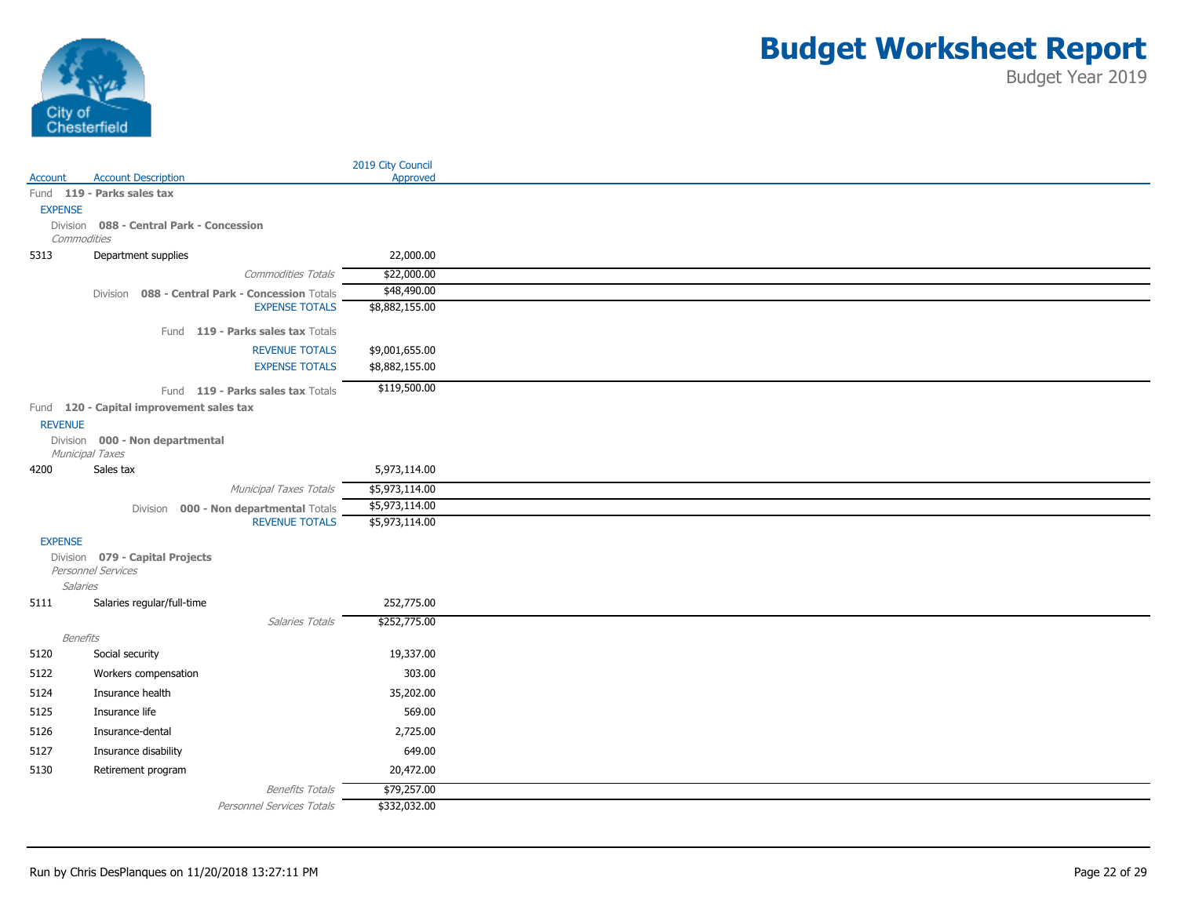

|                 |                                                                 | 2019 City Council                |
|-----------------|-----------------------------------------------------------------|----------------------------------|
| Account         | <b>Account Description</b>                                      | Approved                         |
| <b>EXPENSE</b>  | Fund 119 - Parks sales tax                                      |                                  |
|                 | Division 088 - Central Park - Concession                        |                                  |
| Commodities     |                                                                 |                                  |
| 5313            | Department supplies                                             | 22,000.00                        |
|                 | <b>Commodities Totals</b>                                       | \$22,000.00                      |
|                 | Division 088 - Central Park - Concession Totals                 | \$48,490.00                      |
|                 | <b>EXPENSE TOTALS</b>                                           | \$8,882,155.00                   |
|                 | Fund 119 - Parks sales tax Totals                               |                                  |
|                 | <b>REVENUE TOTALS</b>                                           | \$9,001,655.00                   |
|                 | <b>EXPENSE TOTALS</b>                                           | \$8,882,155.00                   |
|                 | Fund 119 - Parks sales tax Totals                               | \$119,500.00                     |
|                 | Fund 120 - Capital improvement sales tax                        |                                  |
| <b>REVENUE</b>  |                                                                 |                                  |
|                 | Division 000 - Non departmental                                 |                                  |
|                 | Municipal Taxes                                                 |                                  |
| 4200            | Sales tax                                                       | 5,973,114.00                     |
|                 | Municipal Taxes Totals                                          | \$5,973,114.00                   |
|                 | Division 000 - Non departmental Totals<br><b>REVENUE TOTALS</b> | \$5,973,114.00<br>\$5,973,114.00 |
|                 |                                                                 |                                  |
| <b>EXPENSE</b>  | Division 079 - Capital Projects                                 |                                  |
|                 | Personnel Services                                              |                                  |
| Salaries        |                                                                 |                                  |
| 5111            | Salaries regular/full-time                                      | 252,775.00                       |
|                 | Salaries Totals                                                 | \$252,775.00                     |
| <b>Benefits</b> |                                                                 |                                  |
| 5120            | Social security                                                 | 19,337.00                        |
| 5122            | Workers compensation                                            | 303.00                           |
| 5124            | Insurance health                                                | 35,202.00                        |
| 5125            | Insurance life                                                  | 569.00                           |
| 5126            | Insurance-dental                                                | 2,725.00                         |
| 5127            | Insurance disability                                            | 649.00                           |
| 5130            | Retirement program                                              | 20,472.00                        |
|                 | <b>Benefits Totals</b>                                          | \$79,257.00                      |
|                 | Personnel Services Totals                                       | \$332,032.00                     |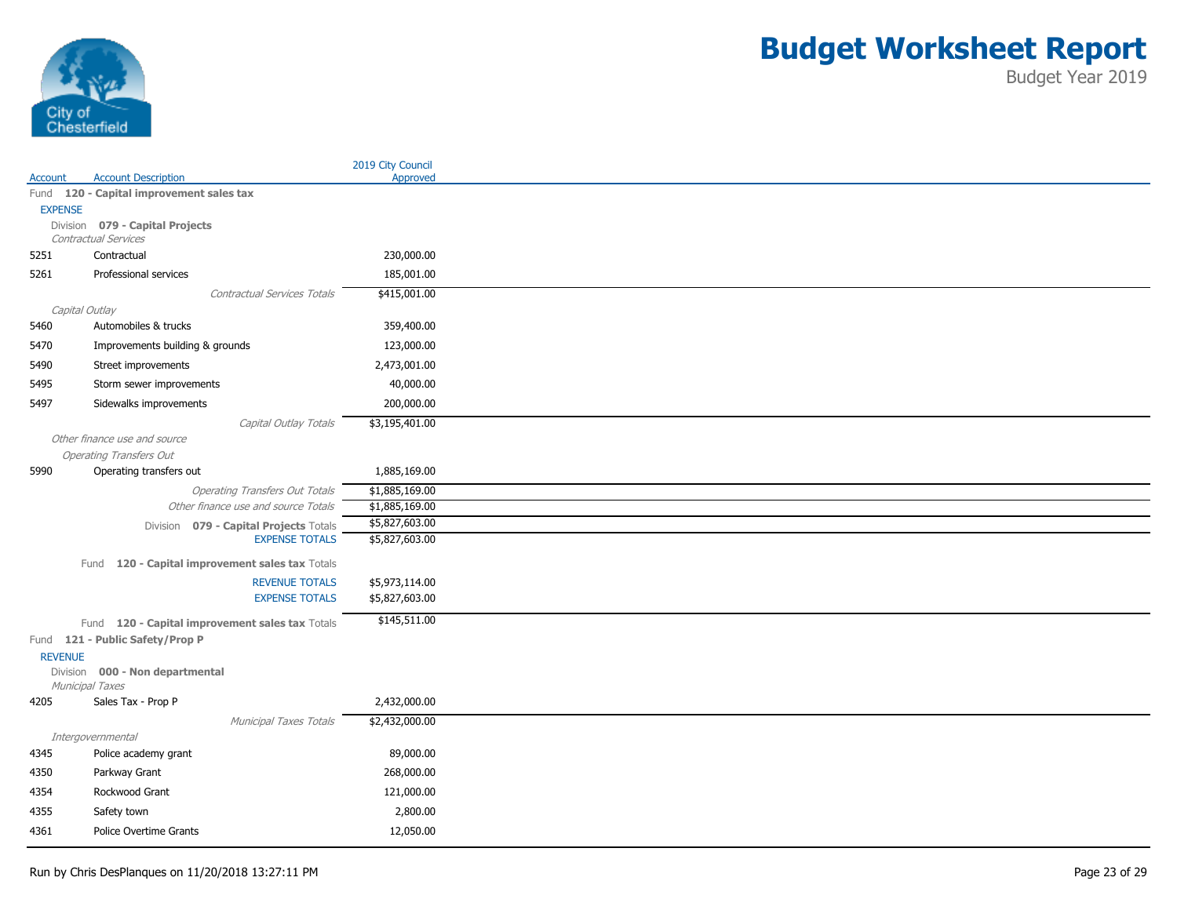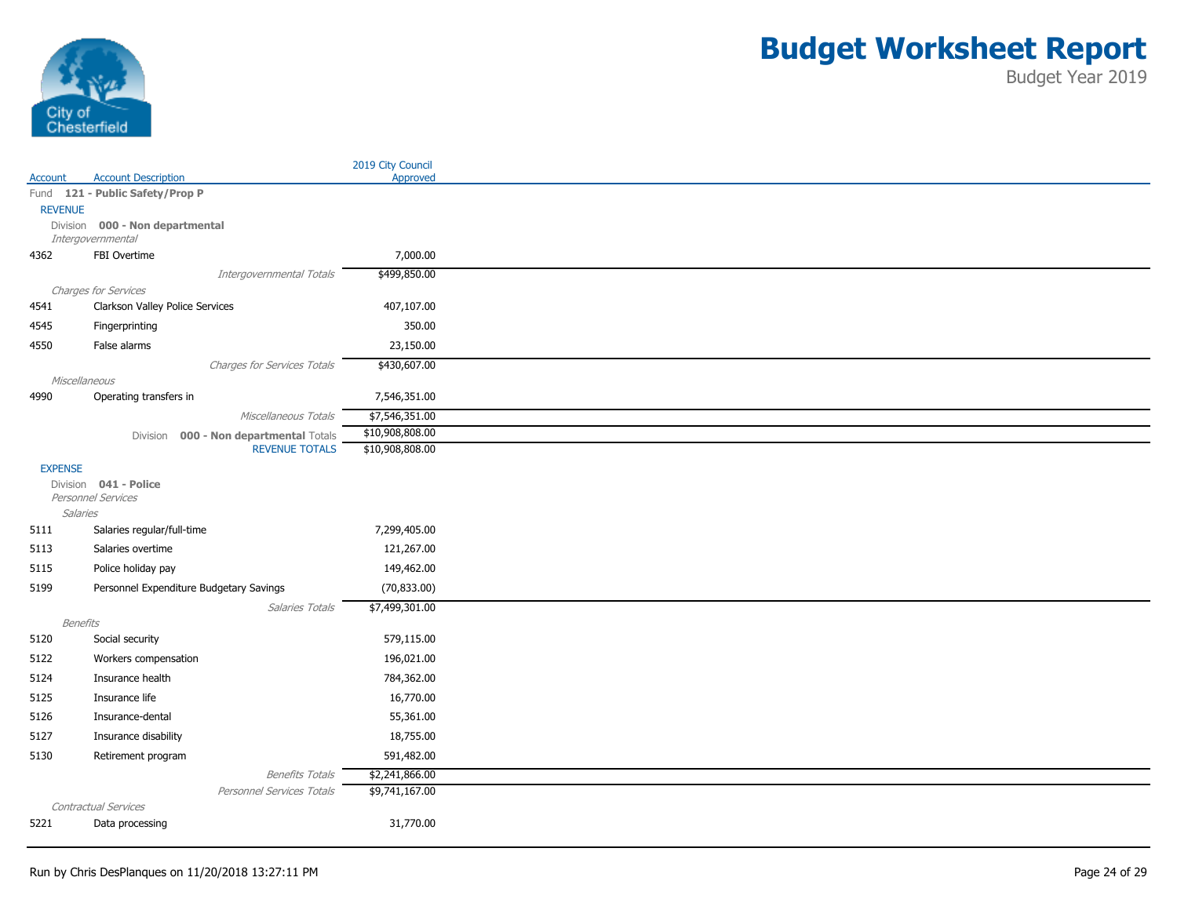

|                 |                                         | 2019 City Council |
|-----------------|-----------------------------------------|-------------------|
| Account         | <b>Account Description</b>              | Approved          |
|                 | Fund 121 - Public Safety/Prop P         |                   |
| <b>REVENUE</b>  | Division 000 - Non departmental         |                   |
|                 | Intergovernmental                       |                   |
| 4362            | FBI Overtime                            | 7,000.00          |
|                 | Intergovernmental Totals                | \$499,850.00      |
|                 | Charges for Services                    |                   |
| 4541            | Clarkson Valley Police Services         | 407,107.00        |
| 4545            | Fingerprinting                          | 350.00            |
| 4550            | False alarms                            | 23,150.00         |
|                 | Charges for Services Totals             | \$430,607.00      |
| Miscellaneous   |                                         |                   |
| 4990            | Operating transfers in                  | 7,546,351.00      |
|                 | Miscellaneous Totals                    | \$7,546,351.00    |
|                 | Division 000 - Non departmental Totals  | \$10,908,808.00   |
|                 | <b>REVENUE TOTALS</b>                   | \$10,908,808.00   |
| <b>EXPENSE</b>  | Division 041 - Police                   |                   |
|                 | Personnel Services                      |                   |
| Salaries        |                                         |                   |
| 5111            | Salaries regular/full-time              | 7,299,405.00      |
| 5113            | Salaries overtime                       | 121,267.00        |
| 5115            | Police holiday pay                      | 149,462.00        |
| 5199            | Personnel Expenditure Budgetary Savings | (70, 833.00)      |
|                 | Salaries Totals                         | \$7,499,301.00    |
| <b>Benefits</b> |                                         |                   |
| 5120            | Social security                         | 579,115.00        |
| 5122            | Workers compensation                    | 196,021.00        |
| 5124            | Insurance health                        | 784,362.00        |
| 5125            | Insurance life                          | 16,770.00         |
| 5126            | Insurance-dental                        | 55,361.00         |
| 5127            | Insurance disability                    | 18,755.00         |
| 5130            | Retirement program                      | 591,482.00        |
|                 | <b>Benefits Totals</b>                  | \$2,241,866.00    |
|                 | Personnel Services Totals               | \$9,741,167.00    |
|                 | Contractual Services                    |                   |
| 5221            | Data processing                         | 31,770.00         |
|                 |                                         |                   |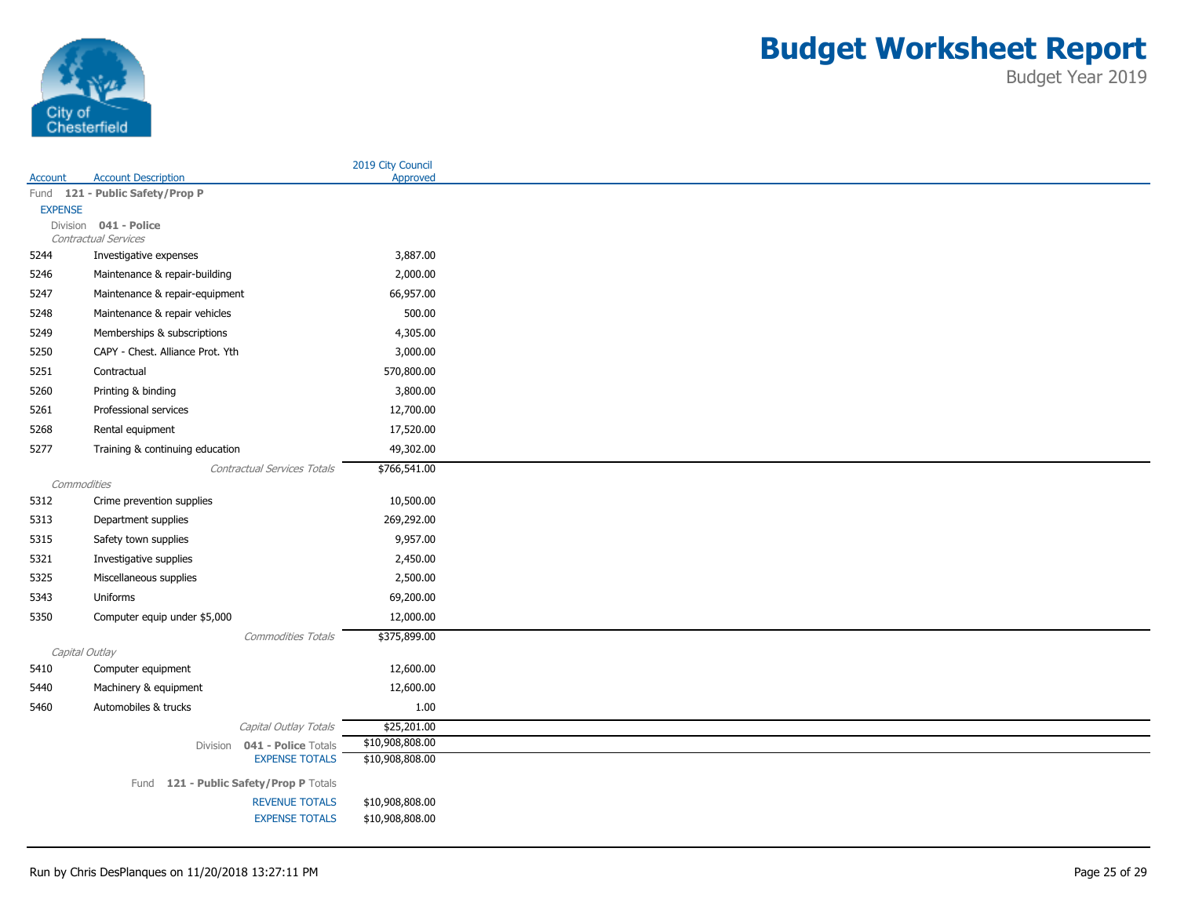

| Account        | <b>Account Description</b>                            | 2019 City Council<br>Approved |
|----------------|-------------------------------------------------------|-------------------------------|
|                | Fund 121 - Public Safety/Prop P                       |                               |
| <b>EXPENSE</b> |                                                       |                               |
|                | Division 041 - Police                                 |                               |
|                | Contractual Services                                  |                               |
| 5244           | Investigative expenses                                | 3,887.00                      |
| 5246           | Maintenance & repair-building                         | 2,000.00                      |
| 5247           | Maintenance & repair-equipment                        | 66,957.00                     |
| 5248           | Maintenance & repair vehicles                         | 500.00                        |
| 5249           | Memberships & subscriptions                           | 4,305.00                      |
| 5250           | CAPY - Chest. Alliance Prot. Yth                      | 3,000.00                      |
| 5251           | Contractual                                           | 570,800.00                    |
| 5260           | Printing & binding                                    | 3,800.00                      |
| 5261           | Professional services                                 | 12,700.00                     |
| 5268           | Rental equipment                                      | 17,520.00                     |
| 5277           | Training & continuing education                       | 49,302.00                     |
|                | <b>Contractual Services Totals</b>                    | \$766,541.00                  |
| Commodities    |                                                       |                               |
| 5312           | Crime prevention supplies                             | 10,500.00                     |
| 5313           | Department supplies                                   | 269,292.00                    |
| 5315           | Safety town supplies                                  | 9,957.00                      |
| 5321           | Investigative supplies                                | 2,450.00                      |
| 5325           | Miscellaneous supplies                                | 2,500.00                      |
| 5343           | Uniforms                                              | 69,200.00                     |
| 5350           | Computer equip under \$5,000                          | 12,000.00                     |
|                | <b>Commodities Totals</b>                             | \$375,899.00                  |
| Capital Outlay |                                                       |                               |
| 5410           | Computer equipment                                    | 12,600.00                     |
| 5440           | Machinery & equipment                                 | 12,600.00                     |
| 5460           | Automobiles & trucks                                  | $1.00\,$                      |
|                | Capital Outlay Totals                                 | \$25,201.00                   |
|                | Division 041 - Police Totals<br><b>EXPENSE TOTALS</b> | \$10,908,808.00               |
|                |                                                       | \$10,908,808.00               |
|                | Fund 121 - Public Safety/Prop P Totals                |                               |
|                | <b>REVENUE TOTALS</b>                                 | \$10,908,808.00               |
|                | <b>EXPENSE TOTALS</b>                                 | \$10,908,808.00               |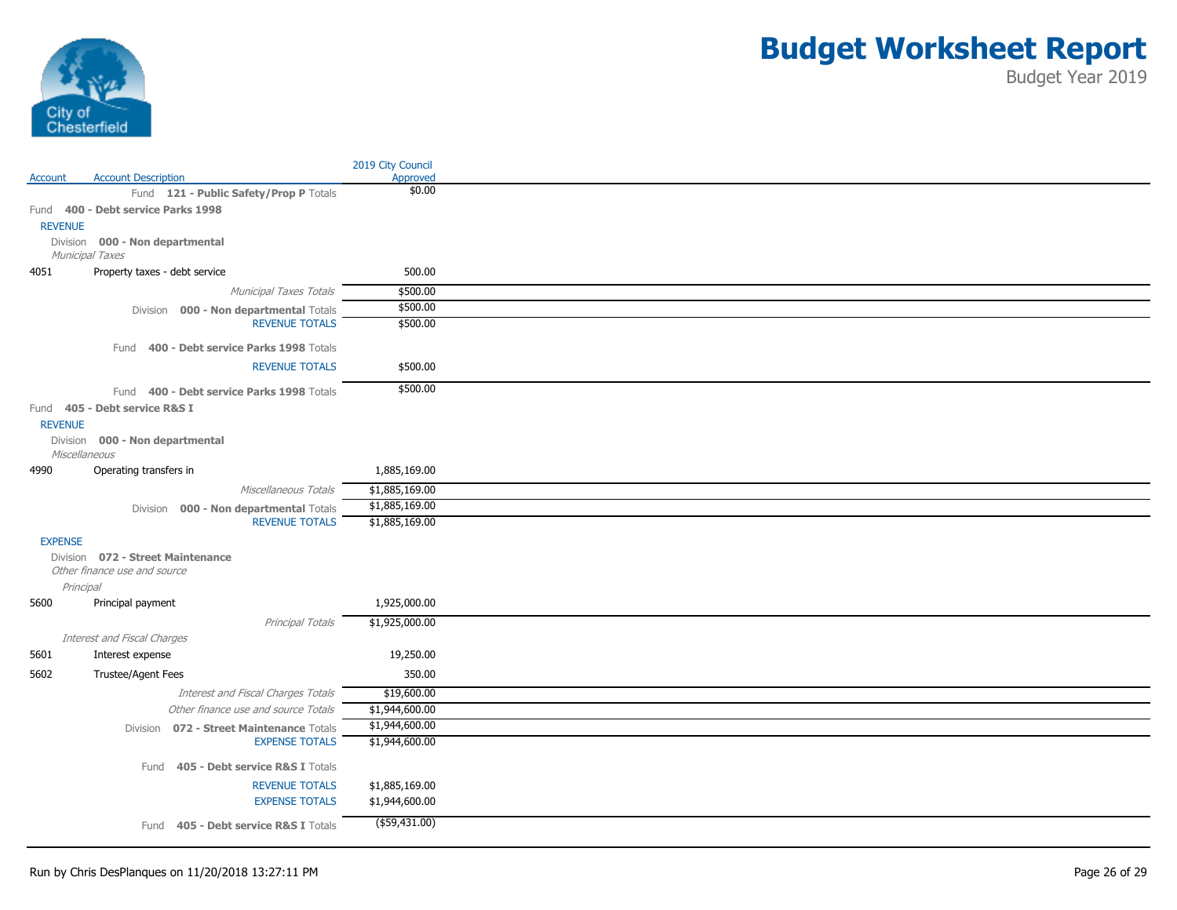

|                |                                           | 2019 City Council |
|----------------|-------------------------------------------|-------------------|
| Account        | <b>Account Description</b>                | Approved          |
|                | Fund 121 - Public Safety/Prop P Totals    | \$0.00            |
|                | Fund 400 - Debt service Parks 1998        |                   |
| <b>REVENUE</b> |                                           |                   |
|                | Division 000 - Non departmental           |                   |
|                | Municipal Taxes                           |                   |
| 4051           | Property taxes - debt service             | 500.00            |
|                | Municipal Taxes Totals                    | \$500.00          |
|                | Division 000 - Non departmental Totals    | \$500.00          |
|                | <b>REVENUE TOTALS</b>                     | \$500.00          |
|                | Fund 400 - Debt service Parks 1998 Totals |                   |
|                | <b>REVENUE TOTALS</b>                     | \$500.00          |
|                |                                           |                   |
|                | Fund 400 - Debt service Parks 1998 Totals | \$500.00          |
|                | Fund 405 - Debt service R&S I             |                   |
| <b>REVENUE</b> |                                           |                   |
|                | Division 000 - Non departmental           |                   |
| Miscellaneous  |                                           |                   |
| 4990           | Operating transfers in                    | 1,885,169.00      |
|                | Miscellaneous Totals                      | \$1,885,169.00    |
|                | Division 000 - Non departmental Totals    | \$1,885,169.00    |
|                | <b>REVENUE TOTALS</b>                     | \$1,885,169.00    |
| <b>EXPENSE</b> |                                           |                   |
|                | Division 072 - Street Maintenance         |                   |
|                | Other finance use and source              |                   |
| Principal      |                                           |                   |
| 5600           | Principal payment                         | 1,925,000.00      |
|                | Principal Totals                          | \$1,925,000.00    |
|                | Interest and Fiscal Charges               |                   |
| 5601           | Interest expense                          | 19,250.00         |
| 5602           | Trustee/Agent Fees                        | 350.00            |
|                | Interest and Fiscal Charges Totals        | \$19,600.00       |
|                | Other finance use and source Totals       | \$1,944,600.00    |
|                | Division 072 - Street Maintenance Totals  | \$1,944,600.00    |
|                | <b>EXPENSE TOTALS</b>                     | \$1,944,600.00    |
|                |                                           |                   |
|                | Fund 405 - Debt service R&S I Totals      |                   |
|                | <b>REVENUE TOTALS</b>                     | \$1,885,169.00    |
|                | <b>EXPENSE TOTALS</b>                     | \$1,944,600.00    |
|                | Fund 405 - Debt service R&S I Totals      | $($ \$59,431.00)  |
|                |                                           |                   |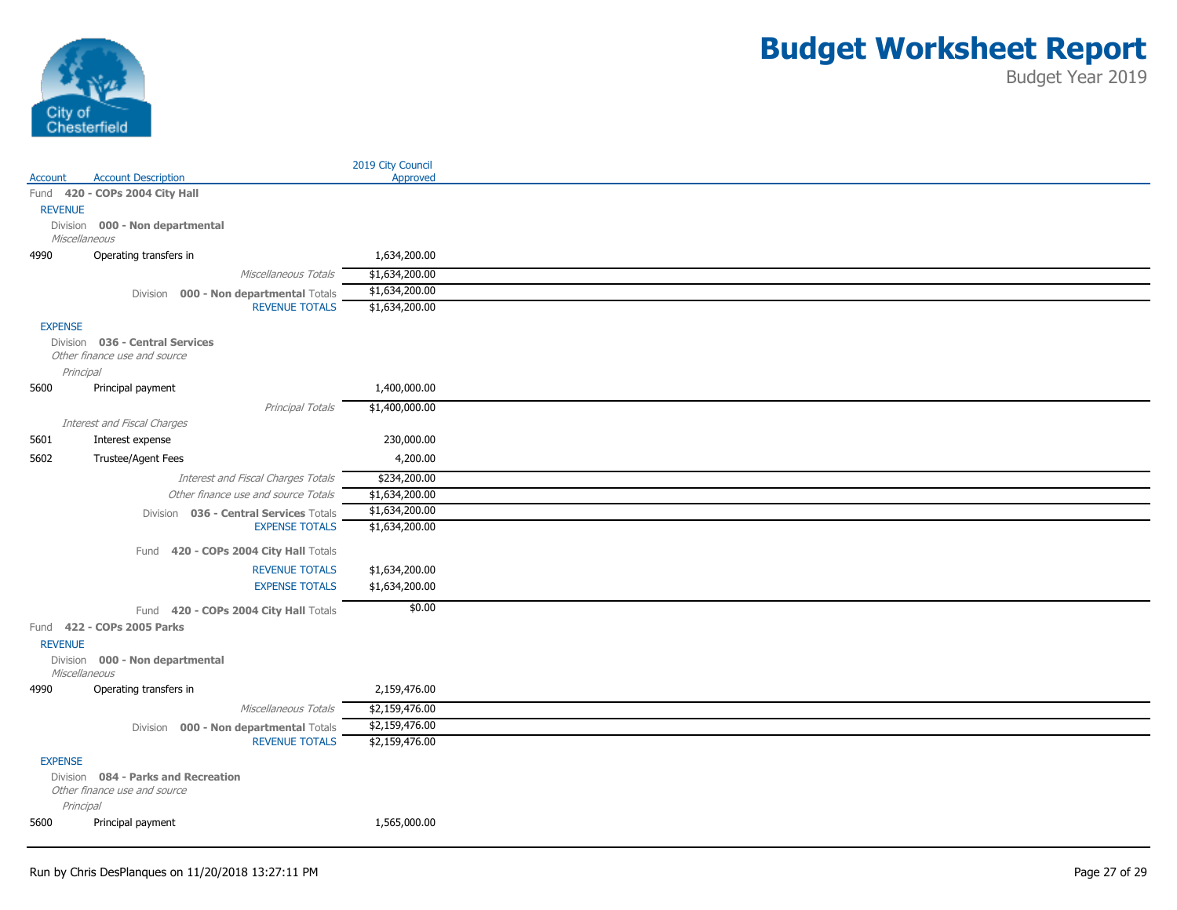

|                |                                          |                       | 2019 City Council |
|----------------|------------------------------------------|-----------------------|-------------------|
| Account        | <b>Account Description</b>               |                       | Approved          |
|                | Fund 420 - COPs 2004 City Hall           |                       |                   |
| <b>REVENUE</b> |                                          |                       |                   |
|                | Division 000 - Non departmental          |                       |                   |
|                | Miscellaneous                            |                       |                   |
| 4990           | Operating transfers in                   |                       | 1,634,200.00      |
|                |                                          | Miscellaneous Totals  | \$1,634,200.00    |
|                | Division 000 - Non departmental Totals   |                       | \$1,634,200.00    |
|                |                                          | <b>REVENUE TOTALS</b> | \$1,634,200.00    |
| <b>EXPENSE</b> |                                          |                       |                   |
|                | Division 036 - Central Services          |                       |                   |
|                | Other finance use and source             |                       |                   |
|                | Principal                                |                       |                   |
| 5600           | Principal payment                        |                       | 1,400,000.00      |
|                |                                          | Principal Totals      | \$1,400,000.00    |
|                | Interest and Fiscal Charges              |                       |                   |
| 5601           | Interest expense                         |                       | 230,000.00        |
| 5602           | Trustee/Agent Fees                       |                       | 4,200.00          |
|                | Interest and Fiscal Charges Totals       |                       | \$234,200.00      |
|                | Other finance use and source Totals      |                       | \$1,634,200.00    |
|                | Division 036 - Central Services Totals   |                       | \$1,634,200.00    |
|                |                                          | <b>EXPENSE TOTALS</b> | \$1,634,200.00    |
|                | 420 - COPs 2004 City Hall Totals<br>Fund |                       |                   |
|                |                                          | <b>REVENUE TOTALS</b> | \$1,634,200.00    |
|                |                                          | <b>EXPENSE TOTALS</b> | \$1,634,200.00    |
|                | 420 - COPs 2004 City Hall Totals<br>Fund |                       | \$0.00            |
|                | Fund 422 - COPs 2005 Parks               |                       |                   |
| <b>REVENUE</b> |                                          |                       |                   |
|                | Division 000 - Non departmental          |                       |                   |
|                | Miscellaneous                            |                       |                   |
| 4990           | Operating transfers in                   |                       | 2,159,476.00      |
|                |                                          | Miscellaneous Totals  | \$2,159,476.00    |
|                | Division 000 - Non departmental Totals   |                       | \$2,159,476.00    |
|                |                                          | <b>REVENUE TOTALS</b> | \$2,159,476.00    |
| <b>EXPENSE</b> |                                          |                       |                   |
|                | Division 084 - Parks and Recreation      |                       |                   |
|                | Other finance use and source             |                       |                   |
|                | Principal                                |                       |                   |
| 5600           | Principal payment                        |                       | 1,565,000.00      |
|                |                                          |                       |                   |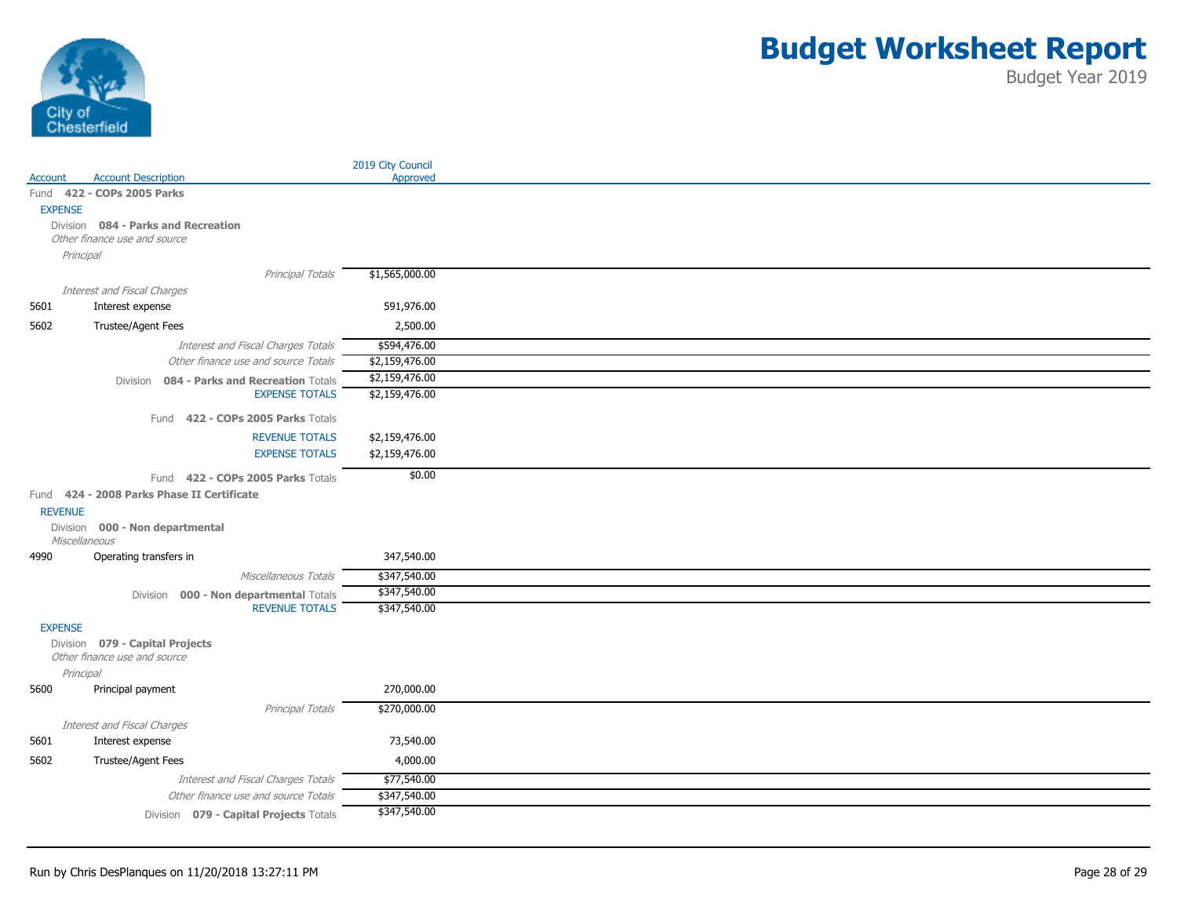

|                |                                                                     |                                                                           | 2019 City Council |
|----------------|---------------------------------------------------------------------|---------------------------------------------------------------------------|-------------------|
| Account        | <b>Account Description</b>                                          |                                                                           | Approved          |
|                | Fund 422 - COPs 2005 Parks                                          |                                                                           |                   |
| <b>EXPENSE</b> |                                                                     |                                                                           |                   |
|                | Division 084 - Parks and Recreation<br>Other finance use and source |                                                                           |                   |
|                | Principal                                                           |                                                                           |                   |
|                |                                                                     |                                                                           |                   |
|                | Interest and Fiscal Charges                                         | Principal Totals                                                          | \$1,565,000.00    |
| 5601           | Interest expense                                                    |                                                                           | 591,976.00        |
| 5602           | Trustee/Agent Fees                                                  |                                                                           | 2,500.00          |
|                |                                                                     |                                                                           |                   |
|                |                                                                     | Interest and Fiscal Charges Totals<br>Other finance use and source Totals | \$594,476.00      |
|                |                                                                     |                                                                           | \$2,159,476.00    |
|                |                                                                     | Division 084 - Parks and Recreation Totals<br><b>EXPENSE TOTALS</b>       | \$2,159,476.00    |
|                |                                                                     |                                                                           | \$2,159,476.00    |
|                |                                                                     | Fund 422 - COPs 2005 Parks Totals                                         |                   |
|                |                                                                     | <b>REVENUE TOTALS</b>                                                     | \$2,159,476.00    |
|                |                                                                     | <b>EXPENSE TOTALS</b>                                                     | \$2,159,476.00    |
|                |                                                                     | Fund 422 - COPs 2005 Parks Totals                                         | \$0.00            |
|                | Fund 424 - 2008 Parks Phase II Certificate                          |                                                                           |                   |
| <b>REVENUE</b> |                                                                     |                                                                           |                   |
|                | Division 000 - Non departmental                                     |                                                                           |                   |
|                | Miscellaneous                                                       |                                                                           |                   |
| 4990           | Operating transfers in                                              |                                                                           | 347,540.00        |
|                |                                                                     | Miscellaneous Totals                                                      | \$347,540.00      |
|                |                                                                     | Division 000 - Non departmental Totals                                    | \$347,540.00      |
|                |                                                                     | <b>REVENUE TOTALS</b>                                                     | \$347,540.00      |
| <b>EXPENSE</b> |                                                                     |                                                                           |                   |
|                | Division 079 - Capital Projects                                     |                                                                           |                   |
|                | Other finance use and source                                        |                                                                           |                   |
|                | Principal                                                           |                                                                           |                   |
| 5600           | Principal payment                                                   |                                                                           | 270,000.00        |
|                |                                                                     | Principal Totals                                                          | \$270,000.00      |
|                | Interest and Fiscal Charges                                         |                                                                           |                   |
| 5601           | Interest expense                                                    |                                                                           | 73,540.00         |
| 5602           | <b>Trustee/Agent Fees</b>                                           |                                                                           | 4,000.00          |
|                |                                                                     | Interest and Fiscal Charges Totals                                        | \$77,540.00       |
|                |                                                                     | Other finance use and source Totals                                       | \$347,540.00      |
|                |                                                                     | Division 079 - Capital Projects Totals                                    | \$347,540.00      |